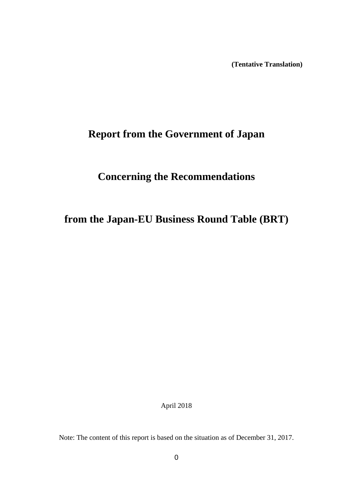**(Tentative Translation)**

# **Report from the Government of Japan**

# **Concerning the Recommendations**

# **from the Japan-EU Business Round Table (BRT)**

April 2018

Note: The content of this report is based on the situation as of December 31, 2017.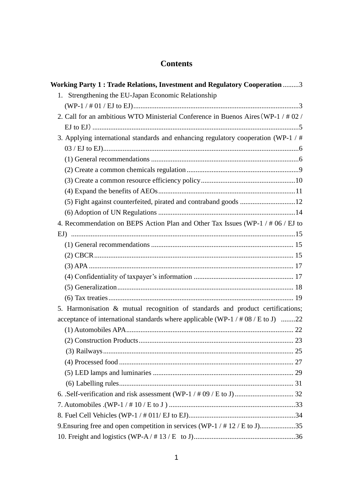# **Contents**

| Working Party 1: Trade Relations, Investment and Regulatory Cooperation 3           |  |
|-------------------------------------------------------------------------------------|--|
| 1. Strengthening the EU-Japan Economic Relationship                                 |  |
|                                                                                     |  |
| 2. Call for an ambitious WTO Ministerial Conference in Buenos Aires (WP-1 / # 02 /  |  |
|                                                                                     |  |
| 3. Applying international standards and enhancing regulatory cooperation (WP-1 / #  |  |
|                                                                                     |  |
|                                                                                     |  |
|                                                                                     |  |
|                                                                                     |  |
|                                                                                     |  |
|                                                                                     |  |
|                                                                                     |  |
| 4. Recommendation on BEPS Action Plan and Other Tax Issues (WP-1 / # 06 / EJ to     |  |
|                                                                                     |  |
|                                                                                     |  |
|                                                                                     |  |
|                                                                                     |  |
|                                                                                     |  |
|                                                                                     |  |
|                                                                                     |  |
| 5. Harmonisation & mutual recognition of standards and product certifications;      |  |
| acceptance of international standards where applicable (WP-1 / $\#$ 08 / E to J) 22 |  |
|                                                                                     |  |
|                                                                                     |  |
|                                                                                     |  |
|                                                                                     |  |
|                                                                                     |  |
|                                                                                     |  |
|                                                                                     |  |
|                                                                                     |  |
|                                                                                     |  |
| 9. Ensuring free and open competition in services (WP-1 / # 12 / E to J)35          |  |
|                                                                                     |  |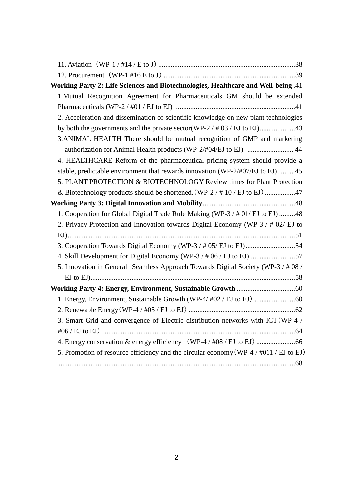| Working Party 2: Life Sciences and Biotechnologies, Healthcare and Well-being .41     |
|---------------------------------------------------------------------------------------|
| 1. Mutual Recognition Agreement for Pharmaceuticals GM should be extended             |
|                                                                                       |
| 2. Acceleration and dissemination of scientific knowledge on new plant technologies   |
|                                                                                       |
| 3. ANIMAL HEALTH There should be mutual recognition of GMP and marketing              |
| authorization for Animal Health products (WP-2/#04/EJ to EJ)  44                      |
| 4. HEALTHCARE Reform of the pharmaceutical pricing system should provide a            |
| stable, predictable environment that rewards innovation (WP-2/#07/EJ to EJ) 45        |
| 5. PLANT PROTECTION & BIOTECHNOLOGY Review times for Plant Protection                 |
| & Biotechnology products should be shortened. (WP-2 / $\#$ 10 / EJ to EJ) 47          |
|                                                                                       |
| 1. Cooperation for Global Digital Trade Rule Making (WP-3 / # 01/ EJ to EJ) 48        |
| 2. Privacy Protection and Innovation towards Digital Economy (WP-3 / # 02/ EJ to      |
|                                                                                       |
|                                                                                       |
| 4. Skill Development for Digital Economy (WP-3 / # 06 / EJ to EJ)57                   |
| 5. Innovation in General Seamless Approach Towards Digital Society (WP-3/#08/         |
|                                                                                       |
|                                                                                       |
|                                                                                       |
|                                                                                       |
| 3. Smart Grid and convergence of Electric distribution networks with ICT (WP-4 /      |
|                                                                                       |
|                                                                                       |
| 5. Promotion of resource efficiency and the circular economy (WP-4 / #011 / EJ to EJ) |
|                                                                                       |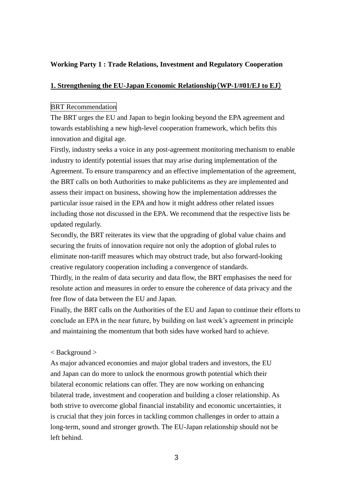# **Working Party 1 : Trade Relations, Investment and Regulatory Cooperation**

# **1. Strengthening the EU-Japan Economic Relationship**(**WP-1/#01/EJ to EJ**)

# BRT Recommendation

The BRT urges the EU and Japan to begin looking beyond the EPA agreement and towards establishing a new high-level cooperation framework, which befits this innovation and digital age.

Firstly, industry seeks a voice in any post-agreement monitoring mechanism to enable industry to identify potential issues that may arise during implementation of the Agreement. To ensure transparency and an effective implementation of the agreement, the BRT calls on both Authorities to make publicitems as they are implemented and assess their impact on business, showing how the implementation addresses the particular issue raised in the EPA and how it might address other related issues including those not discussed in the EPA. We recommend that the respective lists be updated regularly.

Secondly, the BRT reiterates its view that the upgrading of global value chains and securing the fruits of innovation require not only the adoption of global rules to eliminate non-tariff measures which may obstruct trade, but also forward-looking creative regulatory cooperation including a convergence of standards.

Thirdly, in the realm of data security and data flow, the BRT emphasises the need for resolute action and measures in order to ensure the coherence of data privacy and the free flow of data between the EU and Japan.

Finally, the BRT calls on the Authorities of the EU and Japan to continue their efforts to conclude an EPA in the near future, by building on last week's agreement in principle and maintaining the momentum that both sides have worked hard to achieve.

### < Background >

As major advanced economies and major global traders and investors, the EU and Japan can do more to unlock the enormous growth potential which their bilateral economic relations can offer. They are now working on enhancing bilateral trade, investment and cooperation and building a closer relationship. As both strive to overcome global financial instability and economic uncertainties, it is crucial that they join forces in tackling common challenges in order to attain a long-term, sound and stronger growth. The EU-Japan relationship should not be left behind.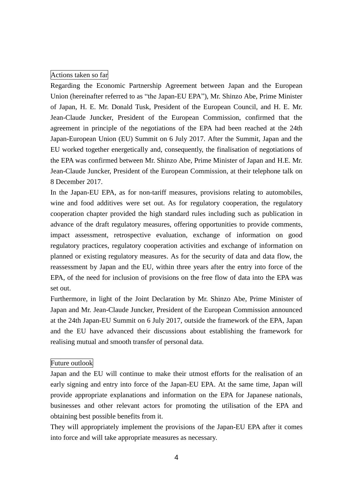# Actions taken so far

Regarding the Economic Partnership Agreement between Japan and the European Union (hereinafter referred to as "the Japan-EU EPA"), Mr. Shinzo Abe, Prime Minister of Japan, H. E. Mr. Donald Tusk, President of the European Council, and H. E. Mr. Jean-Claude Juncker, President of the European Commission, confirmed that the agreement in principle of the negotiations of the EPA had been reached at the 24th Japan-European Union (EU) Summit on 6 July 2017. After the Summit, Japan and the EU worked together energetically and, consequently, the finalisation of negotiations of the EPA was confirmed between Mr. Shinzo Abe, Prime Minister of Japan and H.E. Mr. Jean-Claude Juncker, President of the European Commission, at their telephone talk on 8 December 2017.

In the Japan-EU EPA, as for non-tariff measures, provisions relating to automobiles, wine and food additives were set out. As for regulatory cooperation, the regulatory cooperation chapter provided the high standard rules including such as publication in advance of the draft regulatory measures, offering opportunities to provide comments, impact assessment, retrospective evaluation, exchange of information on good regulatory practices, regulatory cooperation activities and exchange of information on planned or existing regulatory measures. As for the security of data and data flow, the reassessment by Japan and the EU, within three years after the entry into force of the EPA, of the need for inclusion of provisions on the free flow of data into the EPA was set out.

Furthermore, in light of the Joint Declaration by Mr. Shinzo Abe, Prime Minister of Japan and Mr. Jean-Claude Juncker, President of the European Commission announced at the 24th Japan-EU Summit on 6 July 2017, outside the framework of the EPA, Japan and the EU have advanced their discussions about establishing the framework for realising mutual and smooth transfer of personal data.

### Future outlook

Japan and the EU will continue to make their utmost efforts for the realisation of an early signing and entry into force of the Japan-EU EPA. At the same time, Japan will provide appropriate explanations and information on the EPA for Japanese nationals, businesses and other relevant actors for promoting the utilisation of the EPA and obtaining best possible benefits from it.

They will appropriately implement the provisions of the Japan-EU EPA after it comes into force and will take appropriate measures as necessary.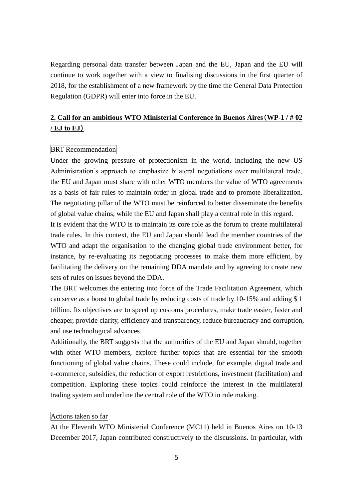Regarding personal data transfer between Japan and the EU, Japan and the EU will continue to work together with a view to finalising discussions in the first quarter of 2018, for the establishment of a new framework by the time the General Data Protection Regulation (GDPR) will enter into force in the EU.

# **2. Call for an ambitious WTO Ministerial Conference in Buenos Aires**(**WP-1 / # 02 / EJ to EJ**)

# BRT Recommendation

Under the growing pressure of protectionism in the world, including the new US Administration's approach to emphasize bilateral negotiations over multilateral trade, the EU and Japan must share with other WTO members the value of WTO agreements as a basis of fair rules to maintain order in global trade and to promote liberalization. The negotiating pillar of the WTO must be reinforced to better disseminate the benefits of global value chains, while the EU and Japan shall play a central role in this regard.

It is evident that the WTO is to maintain its core role as the forum to create multilateral trade rules. In this context, the EU and Japan should lead the member countries of the WTO and adapt the organisation to the changing global trade environment better, for instance, by re-evaluating its negotiating processes to make them more efficient, by facilitating the delivery on the remaining DDA mandate and by agreeing to create new sets of rules on issues beyond the DDA.

The BRT welcomes the entering into force of the Trade Facilitation Agreement, which can serve as a boost to global trade by reducing costs of trade by 10-15% and adding \$ 1 trillion. Its objectives are to speed up customs procedures, make trade easier, faster and cheaper, provide clarity, efficiency and transparency, reduce bureaucracy and corruption, and use technological advances.

Additionally, the BRT suggests that the authorities of the EU and Japan should, together with other WTO members, explore further topics that are essential for the smooth functioning of global value chains. These could include, for example, digital trade and e-commerce, subsidies, the reduction of export restrictions, investment (facilitation) and competition. Exploring these topics could reinforce the interest in the multilateral trading system and underline the central role of the WTO in rule making.

# Actions taken so far

At the Eleventh WTO Ministerial Conference (MC11) held in Buenos Aires on 10-13 December 2017, Japan contributed constructively to the discussions. In particular, with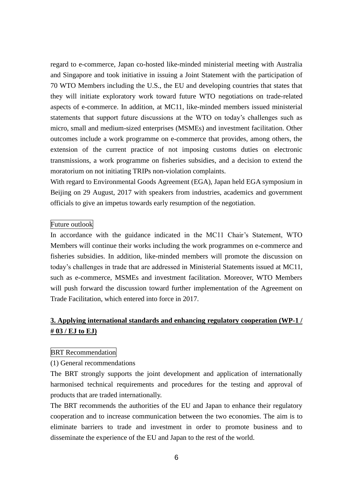regard to e-commerce, Japan co-hosted like-minded ministerial meeting with Australia and Singapore and took initiative in issuing a Joint Statement with the participation of 70 WTO Members including the U.S., the EU and developing countries that states that they will initiate exploratory work toward future WTO negotiations on trade-related aspects of e-commerce. In addition, at MC11, like-minded members issued ministerial statements that support future discussions at the WTO on today's challenges such as micro, small and medium-sized enterprises (MSMEs) and investment facilitation. Other outcomes include a work programme on e-commerce that provides, among others, the extension of the current practice of not imposing customs duties on electronic transmissions, a work programme on fisheries subsidies, and a decision to extend the moratorium on not initiating TRIPs non-violation complaints.

With regard to Environmental Goods Agreement (EGA), Japan held EGA symposium in Beijing on 29 August, 2017 with speakers from industries, academics and government officials to give an impetus towards early resumption of the negotiation.

### Future outlook

In accordance with the guidance indicated in the MC11 Chair's Statement, WTO Members will continue their works including the work programmes on e-commerce and fisheries subsidies. In addition, like-minded members will promote the discussion on today's challenges in trade that are addressed in Ministerial Statements issued at MC11, such as e-commerce, MSMEs and investment facilitation. Moreover, WTO Members will push forward the discussion toward further implementation of the Agreement on Trade Facilitation, which entered into force in 2017.

# **3. Applying international standards and enhancing regulatory cooperation (WP-1 / # 03 / EJ to EJ)**

### BRT Recommendation

### (1) General recommendations

The BRT strongly supports the joint development and application of internationally harmonised technical requirements and procedures for the testing and approval of products that are traded internationally.

The BRT recommends the authorities of the EU and Japan to enhance their regulatory cooperation and to increase communication between the two economies. The aim is to eliminate barriers to trade and investment in order to promote business and to disseminate the experience of the EU and Japan to the rest of the world.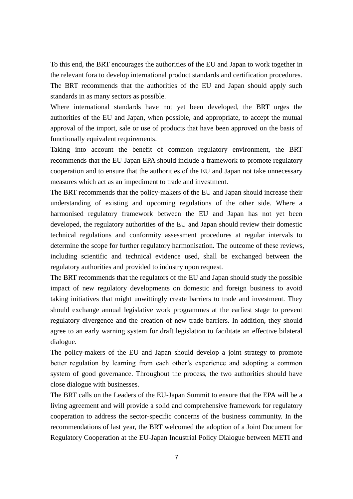To this end, the BRT encourages the authorities of the EU and Japan to work together in the relevant fora to develop international product standards and certification procedures. The BRT recommends that the authorities of the EU and Japan should apply such standards in as many sectors as possible.

Where international standards have not yet been developed, the BRT urges the authorities of the EU and Japan, when possible, and appropriate, to accept the mutual approval of the import, sale or use of products that have been approved on the basis of functionally equivalent requirements.

Taking into account the benefit of common regulatory environment, the BRT recommends that the EU-Japan EPA should include a framework to promote regulatory cooperation and to ensure that the authorities of the EU and Japan not take unnecessary measures which act as an impediment to trade and investment.

The BRT recommends that the policy-makers of the EU and Japan should increase their understanding of existing and upcoming regulations of the other side. Where a harmonised regulatory framework between the EU and Japan has not yet been developed, the regulatory authorities of the EU and Japan should review their domestic technical regulations and conformity assessment procedures at regular intervals to determine the scope for further regulatory harmonisation. The outcome of these reviews, including scientific and technical evidence used, shall be exchanged between the regulatory authorities and provided to industry upon request.

The BRT recommends that the regulators of the EU and Japan should study the possible impact of new regulatory developments on domestic and foreign business to avoid taking initiatives that might unwittingly create barriers to trade and investment. They should exchange annual legislative work programmes at the earliest stage to prevent regulatory divergence and the creation of new trade barriers. In addition, they should agree to an early warning system for draft legislation to facilitate an effective bilateral dialogue.

The policy-makers of the EU and Japan should develop a joint strategy to promote better regulation by learning from each other's experience and adopting a common system of good governance. Throughout the process, the two authorities should have close dialogue with businesses.

The BRT calls on the Leaders of the EU-Japan Summit to ensure that the EPA will be a living agreement and will provide a solid and comprehensive framework for regulatory cooperation to address the sector-specific concerns of the business community. In the recommendations of last year, the BRT welcomed the adoption of a Joint Document for Regulatory Cooperation at the EU-Japan Industrial Policy Dialogue between METI and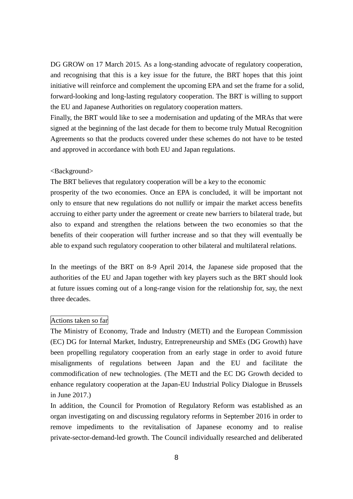DG GROW on 17 March 2015. As a long-standing advocate of regulatory cooperation, and recognising that this is a key issue for the future, the BRT hopes that this joint initiative will reinforce and complement the upcoming EPA and set the frame for a solid, forward-looking and long-lasting regulatory cooperation. The BRT is willing to support the EU and Japanese Authorities on regulatory cooperation matters.

Finally, the BRT would like to see a modernisation and updating of the MRAs that were signed at the beginning of the last decade for them to become truly Mutual Recognition Agreements so that the products covered under these schemes do not have to be tested and approved in accordance with both EU and Japan regulations.

### <Background>

The BRT believes that regulatory cooperation will be a key to the economic

prosperity of the two economies. Once an EPA is concluded, it will be important not only to ensure that new regulations do not nullify or impair the market access benefits accruing to either party under the agreement or create new barriers to bilateral trade, but also to expand and strengthen the relations between the two economies so that the benefits of their cooperation will further increase and so that they will eventually be able to expand such regulatory cooperation to other bilateral and multilateral relations.

In the meetings of the BRT on 8-9 April 2014, the Japanese side proposed that the authorities of the EU and Japan together with key players such as the BRT should look at future issues coming out of a long-range vision for the relationship for, say, the next three decades.

### Actions taken so far

The Ministry of Economy, Trade and Industry (METI) and the European Commission (EC) DG for Internal Market, Industry, Entrepreneurship and SMEs (DG Growth) have been propelling regulatory cooperation from an early stage in order to avoid future misalignments of regulations between Japan and the EU and facilitate the commodification of new technologies. (The METI and the EC DG Growth decided to enhance regulatory cooperation at the Japan-EU Industrial Policy Dialogue in Brussels in June 2017.)

In addition, the Council for Promotion of Regulatory Reform was established as an organ investigating on and discussing regulatory reforms in September 2016 in order to remove impediments to the revitalisation of Japanese economy and to realise private-sector-demand-led growth. The Council individually researched and deliberated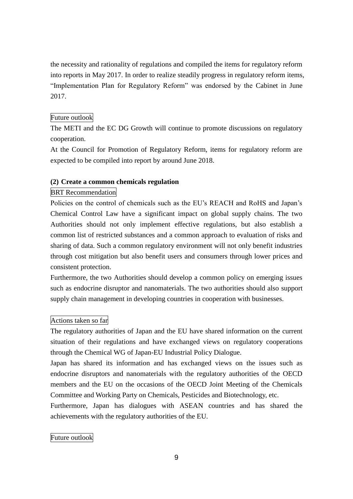the necessity and rationality of regulations and compiled the items for regulatory reform into reports in May 2017. In order to realize steadily progress in regulatory reform items, "Implementation Plan for Regulatory Reform" was endorsed by the Cabinet in June 2017.

# Future outlook

The METI and the EC DG Growth will continue to promote discussions on regulatory cooperation.

At the Council for Promotion of Regulatory Reform, items for regulatory reform are expected to be compiled into report by around June 2018.

# **(2) Create a common chemicals regulation**

# BRT Recommendation

Policies on the control of chemicals such as the EU's REACH and RoHS and Japan's Chemical Control Law have a significant impact on global supply chains. The two Authorities should not only implement effective regulations, but also establish a common list of restricted substances and a common approach to evaluation of risks and sharing of data. Such a common regulatory environment will not only benefit industries through cost mitigation but also benefit users and consumers through lower prices and consistent protection.

Furthermore, the two Authorities should develop a common policy on emerging issues such as endocrine disruptor and nanomaterials. The two authorities should also support supply chain management in developing countries in cooperation with businesses.

# Actions taken so far

The regulatory authorities of Japan and the EU have shared information on the current situation of their regulations and have exchanged views on regulatory cooperations through the Chemical WG of Japan-EU Industrial Policy Dialogue.

Japan has shared its information and has exchanged views on the issues such as endocrine disruptors and nanomaterials with the regulatory authorities of the OECD members and the EU on the occasions of the OECD Joint Meeting of the Chemicals Committee and Working Party on Chemicals, Pesticides and Biotechnology, etc.

Furthermore, Japan has dialogues with ASEAN countries and has shared the achievements with the regulatory authorities of the EU.

Future outlook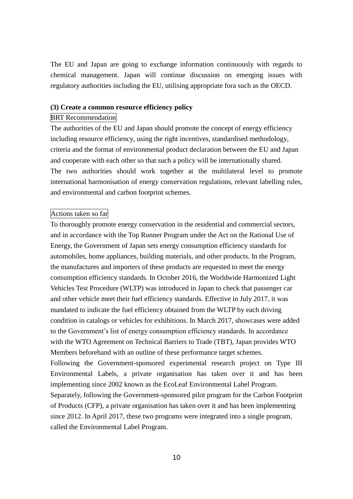The EU and Japan are going to exchange information continuously with regards to chemical management. Japan will continue discussion on emerging issues with regulatory authorities including the EU, utilising appropriate fora such as the OECD.

### **(3) Create a common resource efficiency policy**

#### BRT Recommendation

The authorities of the EU and Japan should promote the concept of energy efficiency including resource efficiency, using the right incentives, standardised methodology, criteria and the format of environmental product declaration between the EU and Japan and cooperate with each other so that such a policy will be internationally shared. The two authorities should work together at the multilateral level to promote international harmonisation of energy conservation regulations, relevant labelling rules, and environmental and carbon footprint schemes.

# Actions taken so far

To thoroughly promote energy conservation in the residential and commercial sectors, and in accordance with the Top Runner Program under the Act on the Rational Use of Energy, the Government of Japan sets energy consumption efficiency standards for automobiles, home appliances, building materials, and other products. In the Program, the manufactures and importers of these products are requested to meet the energy consumption efficiency standards. In October 2016, the Worldwide Harmonized Light Vehicles Test Procedure (WLTP) was introduced in Japan to check that passenger car and other vehicle meet their fuel efficiency standards. Effective in July 2017, it was mandated to indicate the fuel efficiency obtained from the WLTP by each driving condition in catalogs or vehicles for exhibitions. In March 2017, showcases were added to the Government's list of energy consumption efficiency standards. In accordance with the WTO Agreement on Technical Barriers to Trade (TBT), Japan provides WTO Members beforehand with an outline of these performance target schemes. Following the Government-sponsored experimental research project on Type III Environmental Labels, a private organisation has taken over it and has been implementing since 2002 known as the EcoLeaf Environmental Label Program. Separately, following the Government-sponsored pilot program for the Carbon Footprint of Products (CFP), a private organisation has taken over it and has been implementing since 2012. In April 2017, these two programs were integrated into a single program, called the Environmental Label Program.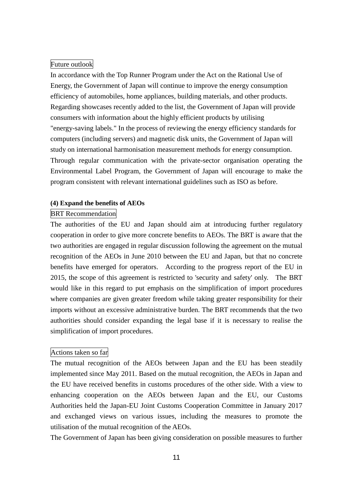# Future outlook

In accordance with the Top Runner Program under the Act on the Rational Use of Energy, the Government of Japan will continue to improve the energy consumption efficiency of automobiles, home appliances, building materials, and other products. Regarding showcases recently added to the list, the Government of Japan will provide consumers with information about the highly efficient products by utilising "energy-saving labels." In the process of reviewing the energy efficiency standards for computers (including servers) and magnetic disk units, the Government of Japan will study on international harmonisation measurement methods for energy consumption. Through regular communication with the private-sector organisation operating the Environmental Label Program, the Government of Japan will encourage to make the program consistent with relevant international guidelines such as ISO as before.

### **(4) Expand the benefits of AEOs**

### BRT Recommendation

The authorities of the EU and Japan should aim at introducing further regulatory cooperation in order to give more concrete benefits to AEOs. The BRT is aware that the two authorities are engaged in regular discussion following the agreement on the mutual recognition of the AEOs in June 2010 between the EU and Japan, but that no concrete benefits have emerged for operators. According to the progress report of the EU in 2015, the scope of this agreement is restricted to 'security and safety' only. The BRT would like in this regard to put emphasis on the simplification of import procedures where companies are given greater freedom while taking greater responsibility for their imports without an excessive administrative burden. The BRT recommends that the two authorities should consider expanding the legal base if it is necessary to realise the simplification of import procedures.

### Actions taken so far

The mutual recognition of the AEOs between Japan and the EU has been steadily implemented since May 2011. Based on the mutual recognition, the AEOs in Japan and the EU have received benefits in customs procedures of the other side. With a view to enhancing cooperation on the AEOs between Japan and the EU, our Customs Authorities held the Japan-EU Joint Customs Cooperation Committee in January 2017 and exchanged views on various issues, including the measures to promote the utilisation of the mutual recognition of the AEOs.

The Government of Japan has been giving consideration on possible measures to further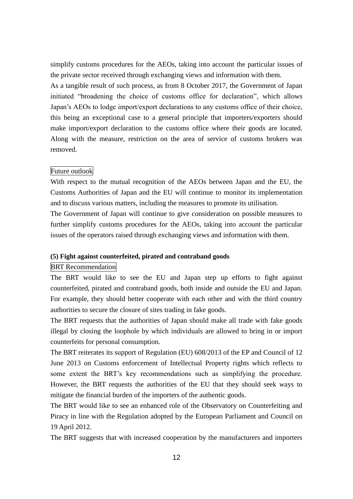simplify customs procedures for the AEOs, taking into account the particular issues of the private sector received through exchanging views and information with them.

As a tangible result of such process, as from 8 October 2017, the Government of Japan initiated "broadening the choice of customs office for declaration", which allows Japan's AEOs to lodge import/export declarations to any customs office of their choice, this being an exceptional case to a general principle that importers/exporters should make import/export declaration to the customs office where their goods are located. Along with the measure, restriction on the area of service of customs brokers was removed.

### Future outlook

With respect to the mutual recognition of the AEOs between Japan and the EU, the Customs Authorities of Japan and the EU will continue to monitor its implementation and to discuss various matters, including the measures to promote its utilisation.

The Government of Japan will continue to give consideration on possible measures to further simplify customs procedures for the AEOs, taking into account the particular issues of the operators raised through exchanging views and information with them.

### **(5) Fight against counterfeited, pirated and contraband goods**

### BRT Recommendation

The BRT would like to see the EU and Japan step up efforts to fight against counterfeited, pirated and contraband goods, both inside and outside the EU and Japan. For example, they should better cooperate with each other and with the third country authorities to secure the closure of sites trading in fake goods.

The BRT requests that the authorities of Japan should make all trade with fake goods illegal by closing the loophole by which individuals are allowed to bring in or import counterfeits for personal consumption.

The BRT reiterates its support of Regulation (EU) 608/2013 of the EP and Council of 12 June 2013 on Customs enforcement of Intellectual Property rights which reflects to some extent the BRT's key recommendations such as simplifying the procedure. However, the BRT requests the authorities of the EU that they should seek ways to mitigate the financial burden of the importers of the authentic goods.

The BRT would like to see an enhanced role of the Observatory on Counterfeiting and Piracy in line with the Regulation adopted by the European Parliament and Council on 19 April 2012.

The BRT suggests that with increased cooperation by the manufacturers and importers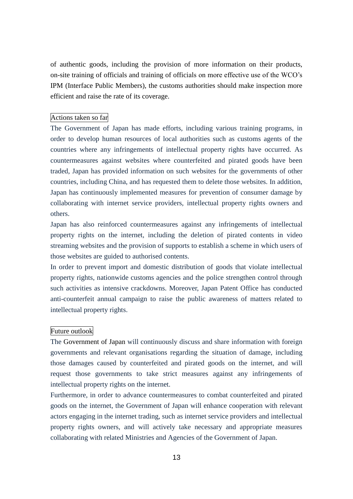of authentic goods, including the provision of more information on their products, on-site training of officials and training of officials on more effective use of the WCO's IPM (Interface Public Members), the customs authorities should make inspection more efficient and raise the rate of its coverage.

### Actions taken so far

The Government of Japan has made efforts, including various training programs, in order to develop human resources of local authorities such as customs agents of the countries where any infringements of intellectual property rights have occurred. As countermeasures against websites where counterfeited and pirated goods have been traded, Japan has provided information on such websites for the governments of other countries, including China, and has requested them to delete those websites. In addition, Japan has continuously implemented measures for prevention of consumer damage by collaborating with internet service providers, intellectual property rights owners and others.

Japan has also reinforced countermeasures against any infringements of intellectual property rights on the internet, including the deletion of pirated contents in video streaming websites and the provision of supports to establish a scheme in which users of those websites are guided to authorised contents.

In order to prevent import and domestic distribution of goods that violate intellectual property rights, nationwide customs agencies and the police strengthen control through such activities as intensive crackdowns. Moreover, Japan Patent Office has conducted anti-counterfeit annual campaign to raise the public awareness of matters related to intellectual property rights.

### Future outlook

The Government of Japan will continuously discuss and share information with foreign governments and relevant organisations regarding the situation of damage, including those damages caused by counterfeited and pirated goods on the internet, and will request those governments to take strict measures against any infringements of intellectual property rights on the internet.

Furthermore, in order to advance countermeasures to combat counterfeited and pirated goods on the internet, the Government of Japan will enhance cooperation with relevant actors engaging in the internet trading, such as internet service providers and intellectual property rights owners, and will actively take necessary and appropriate measures collaborating with related Ministries and Agencies of the Government of Japan.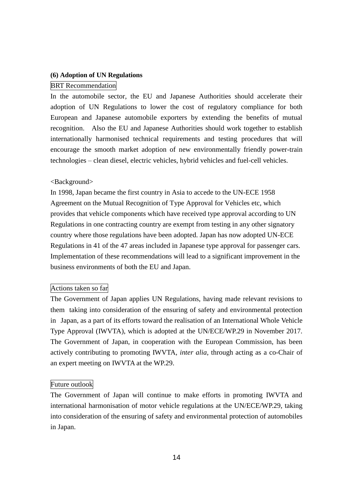### **(6) Adoption of UN Regulations**

### BRT Recommendation

In the automobile sector, the EU and Japanese Authorities should accelerate their adoption of UN Regulations to lower the cost of regulatory compliance for both European and Japanese automobile exporters by extending the benefits of mutual recognition. Also the EU and Japanese Authorities should work together to establish internationally harmonised technical requirements and testing procedures that will encourage the smooth market adoption of new environmentally friendly power-train technologies – clean diesel, electric vehicles, hybrid vehicles and fuel-cell vehicles.

### <Background>

In 1998, Japan became the first country in Asia to accede to the UN-ECE 1958 Agreement on the Mutual Recognition of Type Approval for Vehicles etc, which provides that vehicle components which have received type approval according to UN Regulations in one contracting country are exempt from testing in any other signatory country where those regulations have been adopted. Japan has now adopted UN-ECE Regulations in 41 of the 47 areas included in Japanese type approval for passenger cars. Implementation of these recommendations will lead to a significant improvement in the business environments of both the EU and Japan.

# Actions taken so far

The Government of Japan applies UN Regulations, having made relevant revisions to them taking into consideration of the ensuring of safety and environmental protection in Japan, as a part of its efforts toward the realisation of an International Whole Vehicle Type Approval (IWVTA), which is adopted at the UN/ECE/WP.29 in November 2017. The Government of Japan, in cooperation with the European Commission, has been actively contributing to promoting IWVTA, *inter alia*, through acting as a co-Chair of an expert meeting on IWVTA at the WP.29.

#### Future outlook

The Government of Japan will continue to make efforts in promoting IWVTA and international harmonisation of motor vehicle regulations at the UN/ECE/WP.29, taking into consideration of the ensuring of safety and environmental protection of automobiles in Japan.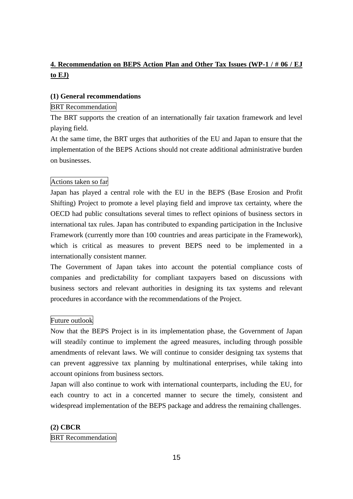# **4. Recommendation on BEPS Action Plan and Other Tax Issues (WP-1 / # 06 / EJ to EJ)**

### **(1) General recommendations**

# BRT Recommendation

The BRT supports the creation of an internationally fair taxation framework and level playing field.

At the same time, the BRT urges that authorities of the EU and Japan to ensure that the implementation of the BEPS Actions should not create additional administrative burden on businesses.

# Actions taken so far

Japan has played a central role with the EU in the BEPS (Base Erosion and Profit Shifting) Project to promote a level playing field and improve tax certainty, where the OECD had public consultations several times to reflect opinions of business sectors in international tax rules. Japan has contributed to expanding participation in the Inclusive Framework (currently more than 100 countries and areas participate in the Framework), which is critical as measures to prevent BEPS need to be implemented in a internationally consistent manner.

The Government of Japan takes into account the potential compliance costs of companies and predictability for compliant taxpayers based on discussions with business sectors and relevant authorities in designing its tax systems and relevant procedures in accordance with the recommendations of the Project.

### Future outlook

Now that the BEPS Project is in its implementation phase, the Government of Japan will steadily continue to implement the agreed measures, including through possible amendments of relevant laws. We will continue to consider designing tax systems that can prevent aggressive tax planning by multinational enterprises, while taking into account opinions from business sectors.

Japan will also continue to work with international counterparts, including the EU, for each country to act in a concerted manner to secure the timely, consistent and widespread implementation of the BEPS package and address the remaining challenges.

### **(2) CBCR**

### BRT Recommendation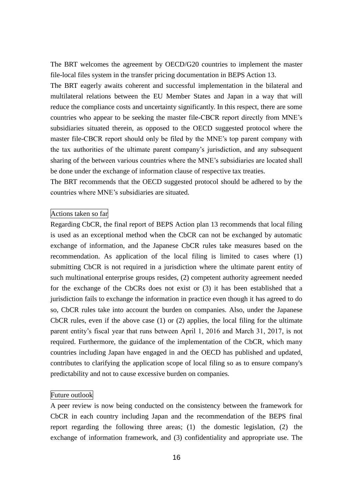The BRT welcomes the agreement by OECD/G20 countries to implement the master file-local files system in the transfer pricing documentation in BEPS Action 13.

The BRT eagerly awaits coherent and successful implementation in the bilateral and multilateral relations between the EU Member States and Japan in a way that will reduce the compliance costs and uncertainty significantly. In this respect, there are some countries who appear to be seeking the master file-CBCR report directly from MNE's subsidiaries situated therein, as opposed to the OECD suggested protocol where the master file-CBCR report should only be filed by the MNE's top parent company with the tax authorities of the ultimate parent company's jurisdiction, and any subsequent sharing of the between various countries where the MNE's subsidiaries are located shall be done under the exchange of information clause of respective tax treaties.

The BRT recommends that the OECD suggested protocol should be adhered to by the countries where MNE's subsidiaries are situated.

### Actions taken so far

Regarding CbCR, the final report of BEPS Action plan 13 recommends that local filing is used as an exceptional method when the CbCR can not be exchanged by automatic exchange of information, and the Japanese CbCR rules take measures based on the recommendation. As application of the local filing is limited to cases where (1) submitting CbCR is not required in a jurisdiction where the ultimate parent entity of such multinational enterprise groups resides, (2) competent authority agreement needed for the exchange of the CbCRs does not exist or (3) it has been established that a jurisdiction fails to exchange the information in practice even though it has agreed to do so, CbCR rules take into account the burden on companies. Also, under the Japanese CbCR rules, even if the above case (1) or (2) applies, the local filing for the ultimate parent entity's fiscal year that runs between April 1, 2016 and March 31, 2017, is not required. Furthermore, the guidance of the implementation of the CbCR, which many countries including Japan have engaged in and the OECD has published and updated, contributes to clarifying the application scope of local filing so as to ensure company's predictability and not to cause excessive burden on companies.

### Future outlook

A peer review is now being conducted on the consistency between the framework for CbCR in each country including Japan and the recommendation of the BEPS final report regarding the following three areas; (1) the domestic legislation, (2) the exchange of information framework, and (3) confidentiality and appropriate use. The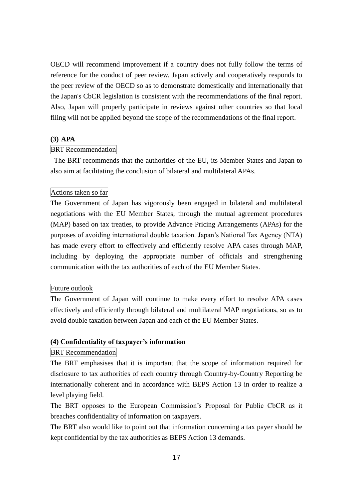OECD will recommend improvement if a country does not fully follow the terms of reference for the conduct of peer review. Japan actively and cooperatively responds to the peer review of the OECD so as to demonstrate domestically and internationally that the Japan's CbCR legislation is consistent with the recommendations of the final report. Also, Japan will properly participate in reviews against other countries so that local filing will not be applied beyond the scope of the recommendations of the final report.

### **(3) APA**

# BRT Recommendation

The BRT recommends that the authorities of the EU, its Member States and Japan to also aim at facilitating the conclusion of bilateral and multilateral APAs.

# Actions taken so far

The Government of Japan has vigorously been engaged in bilateral and multilateral negotiations with the EU Member States, through the mutual agreement procedures (MAP) based on tax treaties, to provide Advance Pricing Arrangements (APAs) for the purposes of avoiding international double taxation. Japan's National Tax Agency (NTA) has made every effort to effectively and efficiently resolve APA cases through MAP, including by deploying the appropriate number of officials and strengthening communication with the tax authorities of each of the EU Member States.

### Future outlook

The Government of Japan will continue to make every effort to resolve APA cases effectively and efficiently through bilateral and multilateral MAP negotiations, so as to avoid double taxation between Japan and each of the EU Member States.

# **(4) Confidentiality of taxpayer's information**

# BRT Recommendation

The BRT emphasises that it is important that the scope of information required for disclosure to tax authorities of each country through Country-by-Country Reporting be internationally coherent and in accordance with BEPS Action 13 in order to realize a level playing field.

The BRT opposes to the European Commission's Proposal for Public CbCR as it breaches confidentiality of information on taxpayers.

The BRT also would like to point out that information concerning a tax payer should be kept confidential by the tax authorities as BEPS Action 13 demands.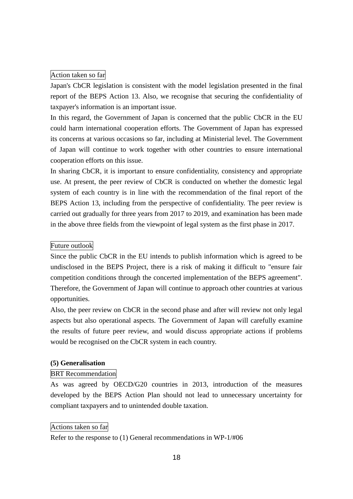### Action taken so far

Japan's CbCR legislation is consistent with the model legislation presented in the final report of the BEPS Action 13. Also, we recognise that securing the confidentiality of taxpayer's information is an important issue.

In this regard, the Government of Japan is concerned that the public CbCR in the EU could harm international cooperation efforts. The Government of Japan has expressed its concerns at various occasions so far, including at Ministerial level. The Government of Japan will continue to work together with other countries to ensure international cooperation efforts on this issue.

In sharing CbCR, it is important to ensure confidentiality, consistency and appropriate use. At present, the peer review of CbCR is conducted on whether the domestic legal system of each country is in line with the recommendation of the final report of the BEPS Action 13, including from the perspective of confidentiality. The peer review is carried out gradually for three years from 2017 to 2019, and examination has been made in the above three fields from the viewpoint of legal system as the first phase in 2017.

# Future outlook

Since the public CbCR in the EU intends to publish information which is agreed to be undisclosed in the BEPS Project, there is a risk of making it difficult to "ensure fair competition conditions through the concerted implementation of the BEPS agreement". Therefore, the Government of Japan will continue to approach other countries at various opportunities.

Also, the peer review on CbCR in the second phase and after will review not only legal aspects but also operational aspects. The Government of Japan will carefully examine the results of future peer review, and would discuss appropriate actions if problems would be recognised on the CbCR system in each country.

# **(5) Generalisation**

# BRT Recommendation

As was agreed by OECD/G20 countries in 2013, introduction of the measures developed by the BEPS Action Plan should not lead to unnecessary uncertainty for compliant taxpayers and to unintended double taxation.

### Actions taken so far

Refer to the response to (1) General recommendations in WP-1/#06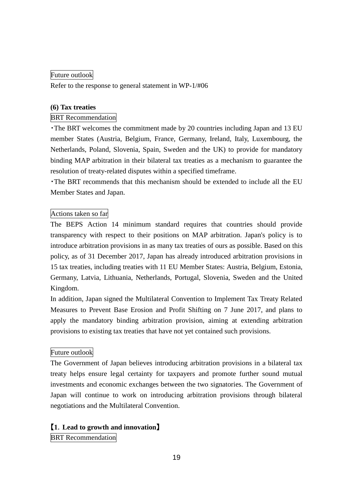# Future outlook

Refer to the response to general statement in WP-1/#06

# **(6) Tax treaties**

# BRT Recommendation

・The BRT welcomes the commitment made by 20 countries including Japan and 13 EU member States (Austria, Belgium, France, Germany, Ireland, Italy, Luxembourg, the Netherlands, Poland, Slovenia, Spain, Sweden and the UK) to provide for mandatory binding MAP arbitration in their bilateral tax treaties as a mechanism to guarantee the resolution of treaty-related disputes within a specified timeframe.

・The BRT recommends that this mechanism should be extended to include all the EU Member States and Japan.

# Actions taken so far

The BEPS Action 14 minimum standard requires that countries should provide transparency with respect to their positions on MAP arbitration. Japan's policy is to introduce arbitration provisions in as many tax treaties of ours as possible. Based on this policy, as of 31 December 2017, Japan has already introduced arbitration provisions in 15 tax treaties, including treaties with 11 EU Member States: Austria, Belgium, Estonia, Germany, Latvia, Lithuania, Netherlands, Portugal, Slovenia, Sweden and the United Kingdom.

In addition, Japan signed the Multilateral Convention to Implement Tax Treaty Related Measures to Prevent Base Erosion and Profit Shifting on 7 June 2017, and plans to apply the mandatory binding arbitration provision, aiming at extending arbitration provisions to existing tax treaties that have not yet contained such provisions.

# Future outlook

The Government of Japan believes introducing arbitration provisions in a bilateral tax treaty helps ensure legal certainty for taxpayers and promote further sound mutual investments and economic exchanges between the two signatories. The Government of Japan will continue to work on introducing arbitration provisions through bilateral negotiations and the Multilateral Convention.

# 【**1**.**Lead to growth and innovation**】

**BRT** Recommendation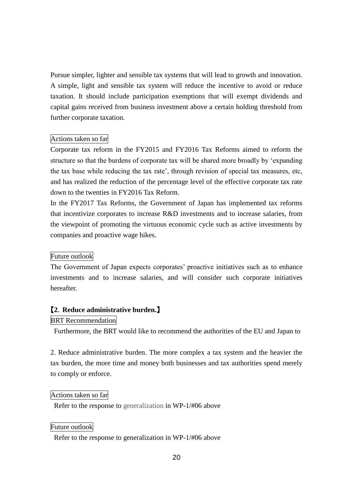Pursue simpler, lighter and sensible tax systems that will lead to growth and innovation. A simple, light and sensible tax system will reduce the incentive to avoid or reduce taxation. It should include participation exemptions that will exempt dividends and capital gains received from business investment above a certain holding threshold from further corporate taxation.

# Actions taken so far

Corporate tax reform in the FY2015 and FY2016 Tax Reforms aimed to reform the structure so that the burdens of corporate tax will be shared more broadly by 'expanding the tax base while reducing the tax rate', through revision of special tax measures, etc, and has realized the reduction of the percentage level of the effective corporate tax rate down to the twenties in FY2016 Tax Reform.

In the FY2017 Tax Reforms, the Government of Japan has implemented tax reforms that incentivize corporates to increase R&D investments and to increase salaries, from the viewpoint of promoting the virtuous economic cycle such as active investments by companies and proactive wage hikes.

### Future outlook

The Government of Japan expects corporates' proactive initiatives such as to enhance investments and to increase salaries, and will consider such corporate initiatives hereafter.

### 【**2**.**Reduce administrative burden.**】

# BRT Recommendation

Furthermore, the BRT would like to recommend the authorities of the EU and Japan to

2. Reduce administrative burden. The more complex a tax system and the heavier the tax burden, the more time and money both businesses and tax authorities spend merely to comply or enforce.

### Actions taken so far

Refer to the response to generalization in WP-1/#06 above

# Future outlook

Refer to the response to generalization in WP-1/#06 above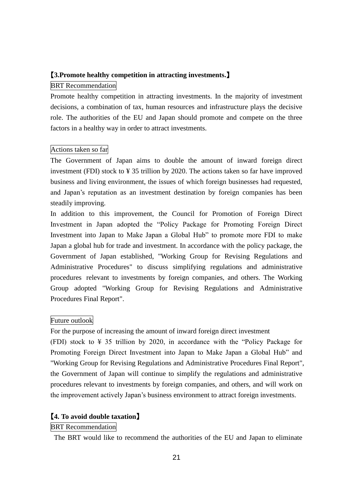# 【**3.Promote healthy competition in attracting investments.**】

# BRT Recommendation

Promote healthy competition in attracting investments. In the majority of investment decisions, a combination of tax, human resources and infrastructure plays the decisive role. The authorities of the EU and Japan should promote and compete on the three factors in a healthy way in order to attract investments.

# Actions taken so far

The Government of Japan aims to double the amount of inward foreign direct investment (FDI) stock to ¥ 35 trillion by 2020. The actions taken so far have improved business and living environment, the issues of which foreign businesses had requested, and Japan's reputation as an investment destination by foreign companies has been steadily improving.

In addition to this improvement, the Council for Promotion of Foreign Direct Investment in Japan adopted the "Policy Package for Promoting Foreign Direct Investment into Japan to Make Japan a Global Hub" to promote more FDI to make Japan a global hub for trade and investment. In accordance with the policy package, the Government of Japan established, "Working Group for Revising Regulations and Administrative Procedures" to discuss simplifying regulations and administrative procedures relevant to investments by foreign companies, and others. The Working Group adopted "Working Group for Revising Regulations and Administrative Procedures Final Report".

# Future outlook

For the purpose of increasing the amount of inward foreign direct investment

(FDI) stock to  $\frac{1}{2}$  35 trillion by 2020, in accordance with the "Policy Package for Promoting Foreign Direct Investment into Japan to Make Japan a Global Hub" and "Working Group for Revising Regulations and Administrative Procedures Final Report", the Government of Japan will continue to simplify the regulations and administrative procedures relevant to investments by foreign companies, and others, and will work on the improvement actively Japan's business environment to attract foreign investments.

# 【**4. To avoid double taxation**】

# BRT Recommendation

The BRT would like to recommend the authorities of the EU and Japan to eliminate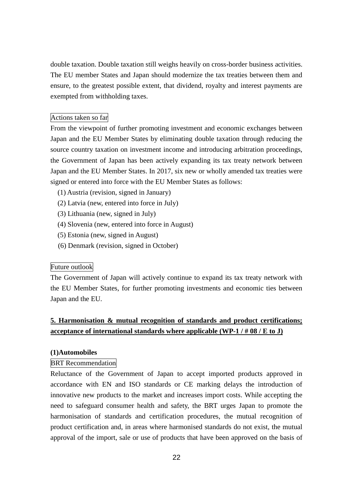double taxation. Double taxation still weighs heavily on cross-border business activities. The EU member States and Japan should modernize the tax treaties between them and ensure, to the greatest possible extent, that dividend, royalty and interest payments are exempted from withholding taxes.

### Actions taken so far

From the viewpoint of further promoting investment and economic exchanges between Japan and the EU Member States by eliminating double taxation through reducing the source country taxation on investment income and introducing arbitration proceedings, the Government of Japan has been actively expanding its tax treaty network between Japan and the EU Member States. In 2017, six new or wholly amended tax treaties were signed or entered into force with the EU Member States as follows:

- (1) Austria (revision, signed in January)
- (2) Latvia (new, entered into force in July)
- (3) Lithuania (new, signed in July)
- (4) Slovenia (new, entered into force in August)
- (5) Estonia (new, signed in August)
- (6) Denmark (revision, signed in October)

### Future outlook

The Government of Japan will actively continue to expand its tax treaty network with the EU Member States, for further promoting investments and economic ties between Japan and the EU.

# **5. Harmonisation & mutual recognition of standards and product certifications; acceptance of international standards where applicable (WP-1 / # 08 / E to J)**

# **(1)Automobiles**

### BRT Recommendation

Reluctance of the Government of Japan to accept imported products approved in accordance with EN and ISO standards or CE marking delays the introduction of innovative new products to the market and increases import costs. While accepting the need to safeguard consumer health and safety, the BRT urges Japan to promote the harmonisation of standards and certification procedures, the mutual recognition of product certification and, in areas where harmonised standards do not exist, the mutual approval of the import, sale or use of products that have been approved on the basis of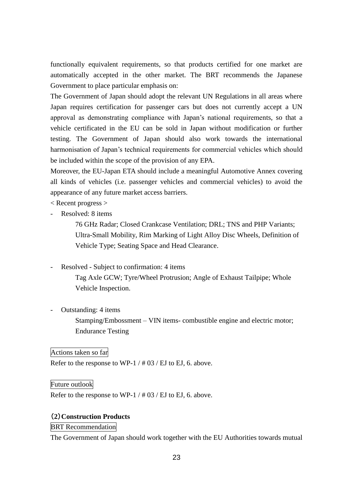functionally equivalent requirements, so that products certified for one market are automatically accepted in the other market. The BRT recommends the Japanese Government to place particular emphasis on:

The Government of Japan should adopt the relevant UN Regulations in all areas where Japan requires certification for passenger cars but does not currently accept a UN approval as demonstrating compliance with Japan's national requirements, so that a vehicle certificated in the EU can be sold in Japan without modification or further testing. The Government of Japan should also work towards the international harmonisation of Japan's technical requirements for commercial vehicles which should be included within the scope of the provision of any EPA.

Moreover, the EU-Japan ETA should include a meaningful Automotive Annex covering all kinds of vehicles (i.e. passenger vehicles and commercial vehicles) to avoid the appearance of any future market access barriers.

< Recent progress >

Resolved: 8 items

76 GHz Radar; Closed Crankcase Ventilation; DRL; TNS and PHP Variants; Ultra-Small Mobility, Rim Marking of Light Alloy Disc Wheels, Definition of Vehicle Type; Seating Space and Head Clearance.

- Resolved - Subject to confirmation: 4 items

Tag Axle GCW; Tyre/Wheel Protrusion; Angle of Exhaust Tailpipe; Whole Vehicle Inspection.

Outstanding: 4 items Stamping/Embossment – VIN items- combustible engine and electric motor; Endurance Testing

Actions taken so far

Refer to the response to WP-1 / # 03 / EJ to EJ, 6. above.

Future outlook

Refer to the response to WP-1 / # 03 / EJ to EJ, 6. above.

# (**2**)**Construction Products**

BRT Recommendation

The Government of Japan should work together with the EU Authorities towards mutual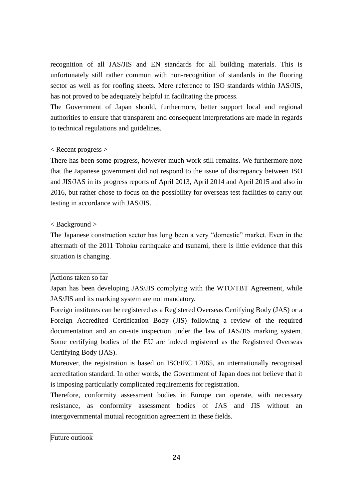recognition of all JAS/JIS and EN standards for all building materials. This is unfortunately still rather common with non-recognition of standards in the flooring sector as well as for roofing sheets. Mere reference to ISO standards within JAS/JIS, has not proved to be adequately helpful in facilitating the process.

The Government of Japan should, furthermore, better support local and regional authorities to ensure that transparent and consequent interpretations are made in regards to technical regulations and guidelines.

### < Recent progress >

There has been some progress, however much work still remains. We furthermore note that the Japanese government did not respond to the issue of discrepancy between ISO and JIS/JAS in its progress reports of April 2013, April 2014 and April 2015 and also in 2016, but rather chose to focus on the possibility for overseas test facilities to carry out testing in accordance with JAS/JIS. .

# < Background >

The Japanese construction sector has long been a very "domestic" market. Even in the aftermath of the 2011 Tohoku earthquake and tsunami, there is little evidence that this situation is changing.

# Actions taken so far

Japan has been developing JAS/JIS complying with the WTO/TBT Agreement, while JAS/JIS and its marking system are not mandatory.

Foreign institutes can be registered as a Registered Overseas Certifying Body (JAS) or a Foreign Accredited Certification Body (JIS) following a review of the required documentation and an on-site inspection under the law of JAS/JIS marking system. Some certifying bodies of the EU are indeed registered as the Registered Overseas Certifying Body (JAS).

Moreover, the registration is based on ISO/IEC 17065, an internationally recognised accreditation standard. In other words, the Government of Japan does not believe that it is imposing particularly complicated requirements for registration.

Therefore, conformity assessment bodies in Europe can operate, with necessary resistance, as conformity assessment bodies of JAS and JIS without an intergovernmental mutual recognition agreement in these fields.

# Future outlook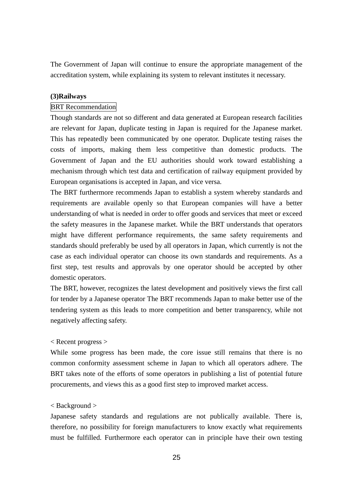The Government of Japan will continue to ensure the appropriate management of the accreditation system, while explaining its system to relevant institutes it necessary.

### **(3)Railways**

# BRT Recommendation

Though standards are not so different and data generated at European research facilities are relevant for Japan, duplicate testing in Japan is required for the Japanese market. This has repeatedly been communicated by one operator. Duplicate testing raises the costs of imports, making them less competitive than domestic products. The Government of Japan and the EU authorities should work toward establishing a mechanism through which test data and certification of railway equipment provided by European organisations is accepted in Japan, and vice versa.

The BRT furthermore recommends Japan to establish a system whereby standards and requirements are available openly so that European companies will have a better understanding of what is needed in order to offer goods and services that meet or exceed the safety measures in the Japanese market. While the BRT understands that operators might have different performance requirements, the same safety requirements and standards should preferably be used by all operators in Japan, which currently is not the case as each individual operator can choose its own standards and requirements. As a first step, test results and approvals by one operator should be accepted by other domestic operators.

The BRT, however, recognizes the latest development and positively views the first call for tender by a Japanese operator The BRT recommends Japan to make better use of the tendering system as this leads to more competition and better transparency, while not negatively affecting safety.

# < Recent progress >

While some progress has been made, the core issue still remains that there is no common conformity assessment scheme in Japan to which all operators adhere. The BRT takes note of the efforts of some operators in publishing a list of potential future procurements, and views this as a good first step to improved market access.

#### < Background >

Japanese safety standards and regulations are not publically available. There is, therefore, no possibility for foreign manufacturers to know exactly what requirements must be fulfilled. Furthermore each operator can in principle have their own testing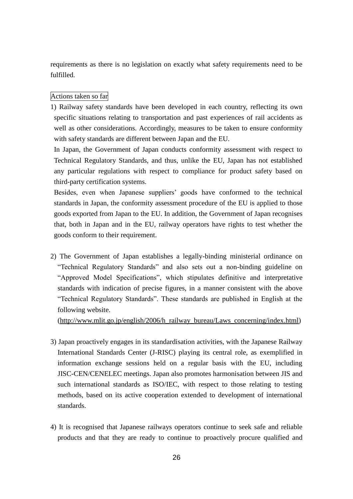requirements as there is no legislation on exactly what safety requirements need to be fulfilled.

# Actions taken so far

1) Railway safety standards have been developed in each country, reflecting its own specific situations relating to transportation and past experiences of rail accidents as well as other considerations. Accordingly, measures to be taken to ensure conformity with safety standards are different between Japan and the EU.

In Japan, the Government of Japan conducts conformity assessment with respect to Technical Regulatory Standards, and thus, unlike the EU, Japan has not established any particular regulations with respect to compliance for product safety based on third-party certification systems.

Besides, even when Japanese suppliers' goods have conformed to the technical standards in Japan, the conformity assessment procedure of the EU is applied to those goods exported from Japan to the EU. In addition, the Government of Japan recognises that, both in Japan and in the EU, railway operators have rights to test whether the goods conform to their requirement.

2) The Government of Japan establishes a legally-binding ministerial ordinance on "Technical Regulatory Standards" and also sets out a non-binding guideline on "Approved Model Specifications", which stipulates definitive and interpretative standards with indication of precise figures, in a manner consistent with the above "Technical Regulatory Standards". These standards are published in English at the following website.

[\(http://www.mlit.go.jp/english/2006/h\\_railway\\_bureau/Laws\\_concerning/index.html\)](http://www.mlit.go.jp/english/2006/h_railway_bureau/Laws_concerning/index.html)

- 3) Japan proactively engages in its standardisation activities, with the Japanese Railway International Standards Center (J-RISC) playing its central role, as exemplified in information exchange sessions held on a regular basis with the EU, including JISC-CEN/CENELEC meetings. Japan also promotes harmonisation between JIS and such international standards as ISO/IEC, with respect to those relating to testing methods, based on its active cooperation extended to development of international standards.
- 4) It is recognised that Japanese railways operators continue to seek safe and reliable products and that they are ready to continue to proactively procure qualified and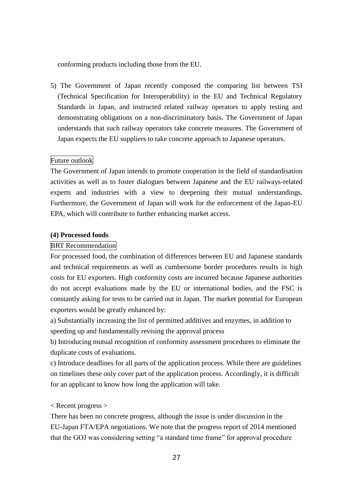conforming products including those from the EU.

5) The Government of Japan recently composed the comparing list between TSI (Technical Specification for Interoperability) in the EU and Technical Regulatory Standards in Japan, and instructed related railway operators to apply testing and demonstrating obligations on a non-discriminatory basis. The Government of Japan understands that such railway operators take concrete measures. The Government of Japan expects the EU suppliers to take concrete approach to Japanese operators.

# Future outlook

The Government of Japan intends to promote cooperation in the field of standardisation activities as well as to foster dialogues between Japanese and the EU railways-related experts and industries with a view to deepening their mutual understandings. Furthermore, the Government of Japan will work for the enforcement of the Japan-EU EPA, which will contribute to further enhancing market access.

### **(4) Processed foods**

# BRT Recommendation

For processed food, the combination of differences between EU and Japanese standards and technical requirements as well as cumbersome border procedures results in high costs for EU exporters. High conformity costs are incurred because Japanese authorities do not accept evaluations made by the EU or international bodies, and the FSC is constantly asking for tests to be carried out in Japan. The market potential for European exporters would be greatly enhanced by:

a) Substantially increasing the list of permitted additives and enzymes, in addition to speeding up and fundamentally revising the approval process

b) Introducing mutual recognition of conformity assessment procedures to eliminate the duplicate costs of evaluations.

c) Introduce deadlines for all parts of the application process. While there are guidelines on timelines these only cover part of the application process. Accordingly, it is difficult for an applicant to know how long the application will take.

# < Recent progress >

There has been no concrete progress, although the issue is under discussion in the EU-Japan FTA/EPA negotiations. We note that the progress report of 2014 mentioned that the GOJ was considering setting "a standard time frame" for approval procedure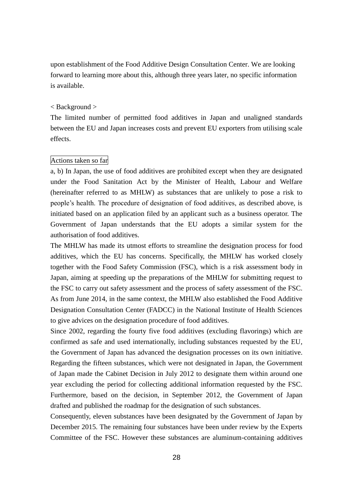upon establishment of the Food Additive Design Consultation Center. We are looking forward to learning more about this, although three years later, no specific information is available.

# < Background >

The limited number of permitted food additives in Japan and unaligned standards between the EU and Japan increases costs and prevent EU exporters from utilising scale effects.

# Actions taken so far

a, b) In Japan, the use of food additives are prohibited except when they are designated under the Food Sanitation Act by the Minister of Health, Labour and Welfare (hereinafter referred to as MHLW) as substances that are unlikely to pose a risk to people's health. The procedure of designation of food additives, as described above, is initiated based on an application filed by an applicant such as a business operator. The Government of Japan understands that the EU adopts a similar system for the authorisation of food additives.

The MHLW has made its utmost efforts to streamline the designation process for food additives, which the EU has concerns. Specifically, the MHLW has worked closely together with the Food Safety Commission (FSC), which is a risk assessment body in Japan, aiming at speeding up the preparations of the MHLW for submitting request to the FSC to carry out safety assessment and the process of safety assessment of the FSC. As from June 2014, in the same context, the MHLW also established the Food Additive Designation Consultation Center (FADCC) in the National Institute of Health Sciences to give advices on the designation procedure of food additives.

Since 2002, regarding the fourty five food additives (excluding flavorings) which are confirmed as safe and used internationally, including substances requested by the EU, the Government of Japan has advanced the designation processes on its own initiative. Regarding the fifteen substances, which were not designated in Japan, the Government of Japan made the Cabinet Decision in July 2012 to designate them within around one year excluding the period for collecting additional information requested by the FSC. Furthermore, based on the decision, in September 2012, the Government of Japan drafted and published the roadmap for the designation of such substances.

Consequently, eleven substances have been designated by the Government of Japan by December 2015. The remaining four substances have been under review by the Experts Committee of the FSC. However these substances are aluminum-containing additives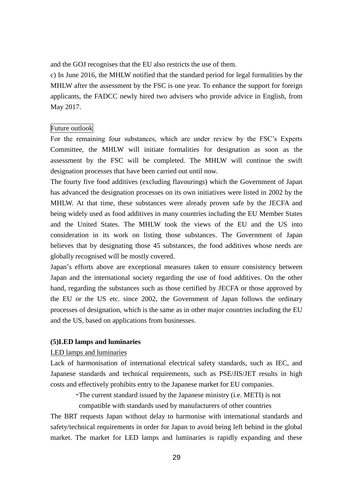and the GOJ recognises that the EU also restricts the use of them.

c) In June 2016, the MHLW notified that the standard period for legal formalities by the MHLW after the assessment by the FSC is one year. To enhance the support for foreign applicants, the FADCC newly hired two advisers who provide advice in English, from May 2017.

### Future outlook

For the remaining four substances, which are under review by the FSC's Experts Committee, the MHLW will initiate formalities for designation as soon as the assessment by the FSC will be completed. The MHLW will continue the swift designation processes that have been carried out until now.

The fourty five food additives (excluding flavourings) which the Government of Japan has advanced the designation processes on its own initiatives were listed in 2002 by the MHLW. At that time, these substances were already proven safe by the JECFA and being widely used as food additives in many countries including the EU Member States and the United States. The MHLW took the views of the EU and the US into consideration in its work on listing those substances. The Government of Japan believes that by designating those 45 substances, the food additives whose needs are globally recognised will be mostly covered.

Japan's efforts above are exceptional measures taken to ensure consistency between Japan and the international society regarding the use of food additives. On the other hand, regarding the substances such as those certified by JECFA or those approved by the EU or the US etc. since 2002, the Government of Japan follows the ordinary processes of designation, which is the same as in other major countries including the EU and the US, based on applications from businesses.

### **(5)LED lamps and luminaries**

# LED lamps and luminaries

Lack of harmonisation of international electrical safety standards, such as IEC, and Japanese standards and technical requirements, such as PSE/JIS/JET results in high costs and effectively prohibits entry to the Japanese market for EU companies.

・The current standard issued by the Japanese ministry (i.e. METI) is not

compatible with standards used by manufacturers of other countries

The BRT requests Japan without delay to harmonise with international standards and safety/technical requirements in order for Japan to avoid being left behind in the global market. The market for LED lamps and luminaries is rapidly expanding and these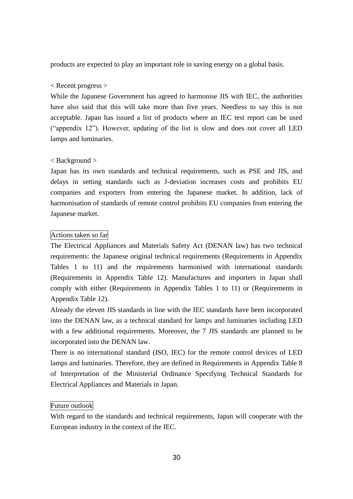products are expected to play an important role in saving energy on a global basis.

# < Recent progress >

While the Japanese Government has agreed to harmonise JIS with IEC, the authorities have also said that this will take more than five years. Needless to say this is not acceptable. Japan has issued a list of products where an IEC test report can be used ("appendix 12"). However, updating of the list is slow and does not cover all LED lamps and luminaries.

# < Background >

Japan has its own standards and technical requirements, such as PSE and JIS, and delays in setting standards such as J-deviation increases costs and prohibits EU companies and exporters from entering the Japanese market. In addition, lack of harmonisation of standards of remote control prohibits EU companies from entering the Japanese market.

# Actions taken so far

The Electrical Appliances and Materials Safety Act (DENAN law) has two technical requirements: the Japanese original technical requirements (Requirements in Appendix Tables 1 to 11) and the requirements harmonised with international standards (Requirements in Appendix Table 12). Manufactures and importers in Japan shall comply with either (Requirements in Appendix Tables 1 to 11) or (Requirements in Appendix Table 12).

Already the eleven JIS standards in line with the IEC standards have been incorporated into the DENAN law, as a technical standard for lamps and luminaries including LED with a few additional requirements. Moreover, the 7 JIS standards are planned to be incorporated into the DENAN law.

There is no international standard (ISO, IEC) for the remote control devices of LED lamps and luminaries. Therefore, they are defined in Requirements in Appendix Table 8 of Interpretation of the Ministerial Ordinance Specifying Technical Standards for Electrical Appliances and Materials in Japan.

# Future outlook

With regard to the standards and technical requirements, Japan will cooperate with the European industry in the context of the IEC.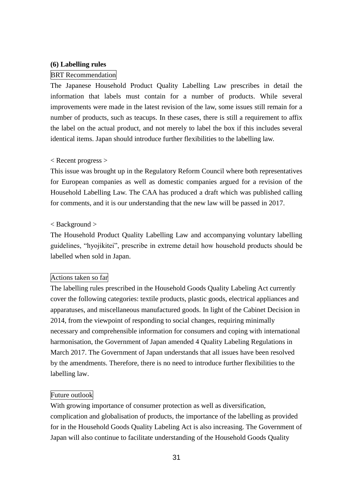### **(6) Labelling rules**

#### BRT Recommendation

The Japanese Household Product Quality Labelling Law prescribes in detail the information that labels must contain for a number of products. While several improvements were made in the latest revision of the law, some issues still remain for a number of products, such as teacups. In these cases, there is still a requirement to affix the label on the actual product, and not merely to label the box if this includes several identical items. Japan should introduce further flexibilities to the labelling law.

### < Recent progress >

This issue was brought up in the Regulatory Reform Council where both representatives for European companies as well as domestic companies argued for a revision of the Household Labelling Law. The CAA has produced a draft which was published calling for comments, and it is our understanding that the new law will be passed in 2017.

### < Background >

The Household Product Quality Labelling Law and accompanying voluntary labelling guidelines, "hyojikitei", prescribe in extreme detail how household products should be labelled when sold in Japan.

#### Actions taken so far

The labelling rules prescribed in the Household Goods Quality Labeling Act currently cover the following categories: textile products, plastic goods, electrical appliances and apparatuses, and miscellaneous manufactured goods. In light of the Cabinet Decision in 2014, from the viewpoint of responding to social changes, requiring minimally necessary and comprehensible information for consumers and coping with international harmonisation, the Government of Japan amended 4 Quality Labeling Regulations in March 2017. The Government of Japan understands that all issues have been resolved by the amendments. Therefore, there is no need to introduce further flexibilities to the labelling law.

### Future outlook

With growing importance of consumer protection as well as diversification, complication and globalisation of products, the importance of the labelling as provided for in the Household Goods Quality Labeling Act is also increasing. The Government of Japan will also continue to facilitate understanding of the Household Goods Quality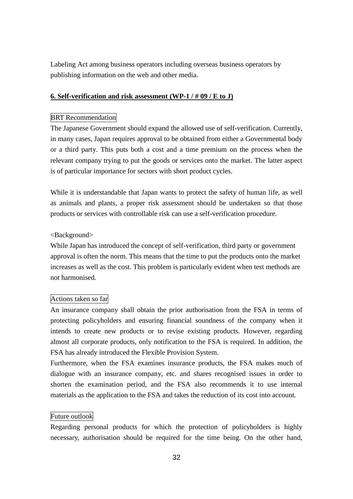Labeling Act among business operators including overseas business operators by publishing information on the web and other media.

# **6. Self-verification and risk assessment (WP-1 / # 09 / E to J)**

# BRT Recommendation

The Japanese Government should expand the allowed use of self-verification. Currently, in many cases, Japan requires approval to be obtained from either a Governmental body or a third party. This puts both a cost and a time premium on the process when the relevant company trying to put the goods or services onto the market. The latter aspect is of particular importance for sectors with short product cycles.

While it is understandable that Japan wants to protect the safety of human life, as well as animals and plants, a proper risk assessment should be undertaken so that those products or services with controllable risk can use a self-verification procedure.

# <Background>

While Japan has introduced the concept of self-verification, third party or government approval is often the norm. This means that the time to put the products onto the market increases as well as the cost. This problem is particularly evident when test methods are not harmonised.

# Actions taken so far

An insurance company shall obtain the prior authorisation from the FSA in terms of protecting policyholders and ensuring financial soundness of the company when it intends to create new products or to revise existing products. However, regarding almost all corporate products, only notification to the FSA is required. In addition, the FSA has already introduced the Flexible Provision System.

Furthermore, when the FSA examines insurance products, the FSA makes much of dialogue with an insurance company, etc. and shares recognised issues in order to shorten the examination period, and the FSA also recommends it to use internal materials as the application to the FSA and takes the reduction of its cost into account.

### Future outlook

Regarding personal products for which the protection of policyholders is highly necessary, authorisation should be required for the time being. On the other hand,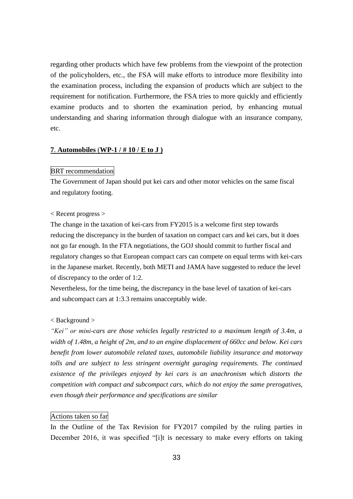regarding other products which have few problems from the viewpoint of the protection of the policyholders, etc., the FSA will make efforts to introduce more flexibility into the examination process, including the expansion of products which are subject to the requirement for notification. Furthermore, the FSA tries to more quickly and efficiently examine products and to shorten the examination period, by enhancing mutual understanding and sharing information through dialogue with an insurance company, etc.

### **7**. **Automobiles** (**WP-1 / # 10 / E to J )**

#### BRT recommendation

The Government of Japan should put kei cars and other motor vehicles on the same fiscal and regulatory footing.

### < Recent progress >

The change in the taxation of kei-cars from FY2015 is a welcome first step towards reducing the discrepancy in the burden of taxation on compact cars and kei cars, but it does not go far enough. In the FTA negotiations, the GOJ should commit to further fiscal and regulatory changes so that European compact cars can compete on equal terms with kei-cars in the Japanese market. Recently, both METI and JAMA have suggested to reduce the level of discrepancy to the order of 1:2.

Nevertheless, for the time being, the discrepancy in the base level of taxation of kei-cars and subcompact cars at 1:3.3 remains unacceptably wide.

### < Background >

*"Kei" or mini-cars are those vehicles legally restricted to a maximum length of 3.4m, a width of 1.48m, a height of 2m, and to an engine displacement of 660cc and below. Kei cars benefit from lower automobile related taxes, automobile liability insurance and motorway tolls and are subject to less stringent overnight garaging requirements. The continued existence of the privileges enjoyed by kei cars is an anachronism which distorts the competition with compact and subcompact cars, which do not enjoy the same prerogatives, even though their performance and specifications are similar*

### Actions taken so far

In the Outline of the Tax Revision for FY2017 compiled by the ruling parties in December 2016, it was specified "[i]t is necessary to make every efforts on taking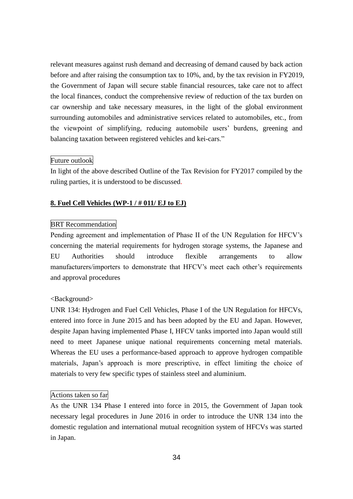relevant measures against rush demand and decreasing of demand caused by back action before and after raising the consumption tax to 10%, and, by the tax revision in FY2019, the Government of Japan will secure stable financial resources, take care not to affect the local finances, conduct the comprehensive review of reduction of the tax burden on car ownership and take necessary measures, in the light of the global environment surrounding automobiles and administrative services related to automobiles, etc., from the viewpoint of simplifying, reducing automobile users' burdens, greening and balancing taxation between registered vehicles and kei-cars."

# Future outlook

In light of the above described Outline of the Tax Revision for FY2017 compiled by the ruling parties, it is understood to be discussed.

# **8. Fuel Cell Vehicles (WP-1 / # 011/ EJ to EJ)**

# BRT Recommendation

Pending agreement and implementation of Phase II of the UN Regulation for HFCV's concerning the material requirements for hydrogen storage systems, the Japanese and EU Authorities should introduce flexible arrangements to allow manufacturers/importers to demonstrate that HFCV's meet each other's requirements and approval procedures

# <Background>

UNR 134: Hydrogen and Fuel Cell Vehicles, Phase I of the UN Regulation for HFCVs, entered into force in June 2015 and has been adopted by the EU and Japan. However, despite Japan having implemented Phase I, HFCV tanks imported into Japan would still need to meet Japanese unique national requirements concerning metal materials. Whereas the EU uses a performance-based approach to approve hydrogen compatible materials, Japan's approach is more prescriptive, in effect limiting the choice of materials to very few specific types of stainless steel and aluminium.

# Actions taken so far

As the UNR 134 Phase I entered into force in 2015, the Government of Japan took necessary legal procedures in June 2016 in order to introduce the UNR 134 into the domestic regulation and international mutual recognition system of HFCVs was started in Japan.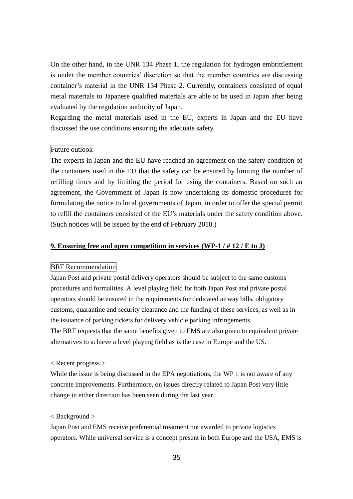On the other hand, in the UNR 134 Phase 1, the regulation for hydrogen embrittlement is under the member countries' discretion so that the member countries are discussing container's material in the UNR 134 Phase 2. Currently, containers consisted of equal metal materials to Japanese qualified materials are able to be used in Japan after being evaluated by the regulation authority of Japan.

Regarding the metal materials used in the EU, experts in Japan and the EU have discussed the use conditions ensuring the adequate safety.

# Future outlook

The experts in Japan and the EU have reached an agreement on the safety condition of the containers used in the EU that the safety can be ensured by limiting the number of refilling times and by limiting the period for using the containers. Based on such an agreement, the Government of Japan is now undertaking its domestic procedures for formulating the notice to local governments of Japan, in order to offer the special permit to refill the containers consisted of the EU's materials under the safety condition above. (Such notices will be issued by the end of February 2018.)

### **9. Ensuring free and open competition in services (WP-1 / # 12 / E to J)**

### BRT Recommendation

Japan Post and private postal delivery operators should be subject to the same customs procedures and formalities. A level playing field for both Japan Post and private postal operators should be ensured in the requirements for dedicated airway bills, obligatory customs, quarantine and security clearance and the funding of these services, as well as in the issuance of parking tickets for delivery vehicle parking infringements.

The BRT requests that the same benefits given to EMS are also given to equivalent private alternatives to achieve a level playing field as is the case in Europe and the US.

< Recent progress >

While the issue is being discussed in the EPA negotiations, the WP 1 is not aware of any concrete improvements. Furthermore, on issues directly related to Japan Post very little change in either direction has been seen during the last year.

#### < Background >

Japan Post and EMS receive preferential treatment not awarded to private logistics operators. While universal service is a concept present in both Europe and the USA, EMS is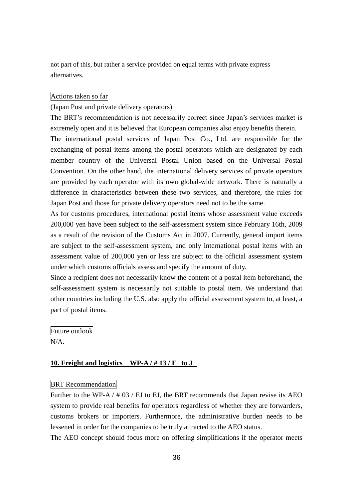not part of this, but rather a service provided on equal terms with private express alternatives.

### Actions taken so far

### (Japan Post and private delivery operators)

The BRT's recommendation is not necessarily correct since Japan's services market is extremely open and it is believed that European companies also enjoy benefits therein.

The international postal services of Japan Post Co., Ltd. are responsible for the exchanging of postal items among the postal operators which are designated by each member country of the Universal Postal Union based on the Universal Postal Convention. On the other hand, the international delivery services of private operators are provided by each operator with its own global-wide network. There is naturally a difference in characteristics between these two services, and therefore, the rules for Japan Post and those for private delivery operators need not to be the same.

As for customs procedures, international postal items whose assessment value exceeds 200,000 yen have been subject to the self-assessment system since February 16th, 2009 as a result of the revision of the Customs Act in 2007. Currently, general import items are subject to the self-assessment system, and only international postal items with an assessment value of 200,000 yen or less are subject to the official assessment system under which customs officials assess and specify the amount of duty.

Since a recipient does not necessarily know the content of a postal item beforehand, the self-assessment system is necessarily not suitable to postal item. We understand that other countries including the U.S. also apply the official assessment system to, at least, a part of postal items.

Future outlook

 $N/A$ 

# **10. Freight and logistics WP-A / # 13 / E to J**

### BRT Recommendation

Further to the WP-A  $/$  # 03  $/$  EJ to EJ, the BRT recommends that Japan revise its AEO system to provide real benefits for operators regardless of whether they are forwarders, customs brokers or importers. Furthermore, the administrative burden needs to be lessened in order for the companies to be truly attracted to the AEO status.

The AEO concept should focus more on offering simplifications if the operator meets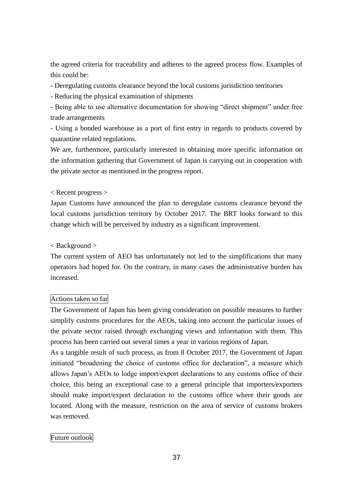the agreed criteria for traceability and adheres to the agreed process flow. Examples of this could be:

- Deregulating customs clearance beyond the local customs jurisdiction territories

- Reducing the physical examination of shipments

- Being able to use alternative documentation for showing "direct shipment" under free trade arrangements

- Using a bonded warehouse as a port of first entry in regards to products covered by quarantine related regulations.

We are, furthermore, particularly interested in obtaining more specific information on the information gathering that Government of Japan is carrying out in cooperation with the private sector as mentioned in the progress report.

# < Recent progress >

Japan Customs have announced the plan to deregulate customs clearance beyond the local customs jurisdiction territory by October 2017. The BRT looks forward to this change which will be perceived by industry as a significant improvement.

# < Background >

The current system of AEO has unfortunately not led to the simplifications that many operators had hoped for. On the contrary, in many cases the administrative burden has increased.

# Actions taken so far

The Government of Japan has been giving consideration on possible measures to further simplify customs procedures for the AEOs, taking into account the particular issues of the private sector raised through exchanging views and information with them. This process has been carried out several times a year in various regions of Japan.

As a tangible result of such process, as from 8 October 2017, the Government of Japan initiated "broadening the choice of customs office for declaration", a measure which allows Japan's AEOs to lodge import/export declarations to any customs office of their choice, this being an exceptional case to a general principle that importers/exporters should make import/export declaration to the customs office where their goods are located. Along with the measure, restriction on the area of service of customs brokers was removed.

# Future outlook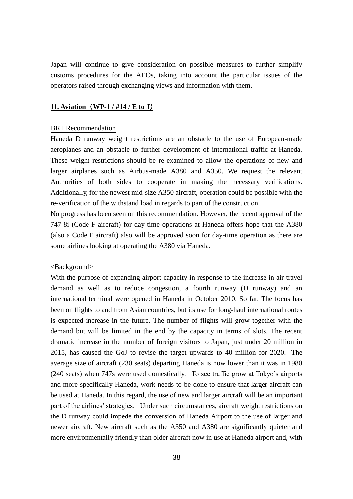Japan will continue to give consideration on possible measures to further simplify customs procedures for the AEOs, taking into account the particular issues of the operators raised through exchanging views and information with them.

# **11. Aviation** (**WP-1 / #14 / E to J**)

### BRT Recommendation

Haneda D runway weight restrictions are an obstacle to the use of European-made aeroplanes and an obstacle to further development of international traffic at Haneda. These weight restrictions should be re-examined to allow the operations of new and larger airplanes such as Airbus-made A380 and A350. We request the relevant Authorities of both sides to cooperate in making the necessary verifications. Additionally, for the newest mid-size A350 aircraft, operation could be possible with the re-verification of the withstand load in regards to part of the construction.

No progress has been seen on this recommendation. However, the recent approval of the 747-8i (Code F aircraft) for day-time operations at Haneda offers hope that the A380 (also a Code F aircraft) also will be approved soon for day-time operation as there are some airlines looking at operating the A380 via Haneda.

#### <Background>

With the purpose of expanding airport capacity in response to the increase in air travel demand as well as to reduce congestion, a fourth runway (D runway) and an international terminal were opened in Haneda in October 2010. So far. The focus has been on flights to and from Asian countries, but its use for long-haul international routes is expected increase in the future. The number of flights will grow together with the demand but will be limited in the end by the capacity in terms of slots. The recent dramatic increase in the number of foreign visitors to Japan, just under 20 million in 2015, has caused the GoJ to revise the target upwards to 40 million for 2020. The average size of aircraft (230 seats) departing Haneda is now lower than it was in 1980 (240 seats) when 747s were used domestically. To see traffic grow at Tokyo's airports and more specifically Haneda, work needs to be done to ensure that larger aircraft can be used at Haneda. In this regard, the use of new and larger aircraft will be an important part of the airlines' strategies. Under such circumstances, aircraft weight restrictions on the D runway could impede the conversion of Haneda Airport to the use of larger and newer aircraft. New aircraft such as the A350 and A380 are significantly quieter and more environmentally friendly than older aircraft now in use at Haneda airport and, with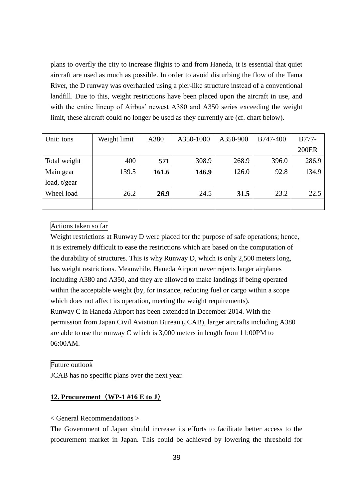plans to overfly the city to increase flights to and from Haneda, it is essential that quiet aircraft are used as much as possible. In order to avoid disturbing the flow of the Tama River, the D runway was overhauled using a pier-like structure instead of a conventional landfill. Due to this, weight restrictions have been placed upon the aircraft in use, and with the entire lineup of Airbus' newest A380 and A350 series exceeding the weight limit, these aircraft could no longer be used as they currently are (cf. chart below).

| Unit: tons     | Weight limit | A380  | A350-1000 | A350-900 | B747-400 | B777-        |
|----------------|--------------|-------|-----------|----------|----------|--------------|
|                |              |       |           |          |          | <b>200ER</b> |
| Total weight   | 400          | 571   | 308.9     | 268.9    | 396.0    | 286.9        |
| Main gear      | 139.5        | 161.6 | 146.9     | 126.0    | 92.8     | 134.9        |
| load, $t/gear$ |              |       |           |          |          |              |
| Wheel load     | 26.2         | 26.9  | 24.5      | 31.5     | 23.2     | 22.5         |
|                |              |       |           |          |          |              |

# Actions taken so far

Weight restrictions at Runway D were placed for the purpose of safe operations; hence, it is extremely difficult to ease the restrictions which are based on the computation of the durability of structures. This is why Runway D, which is only 2,500 meters long, has weight restrictions. Meanwhile, Haneda Airport never rejects larger airplanes including A380 and A350, and they are allowed to make landings if being operated within the acceptable weight (by, for instance, reducing fuel or cargo within a scope which does not affect its operation, meeting the weight requirements). Runway C in Haneda Airport has been extended in December 2014. With the permission from Japan Civil Aviation Bureau (JCAB), larger aircrafts including A380 are able to use the runway C which is 3,000 meters in length from 11:00PM to 06:00AM.

### Future outlook

JCAB has no specific plans over the next year.

# **12. Procurement** (**WP-1 #16 E to J**)

# < General Recommendations >

The Government of Japan should increase its efforts to facilitate better access to the procurement market in Japan. This could be achieved by lowering the threshold for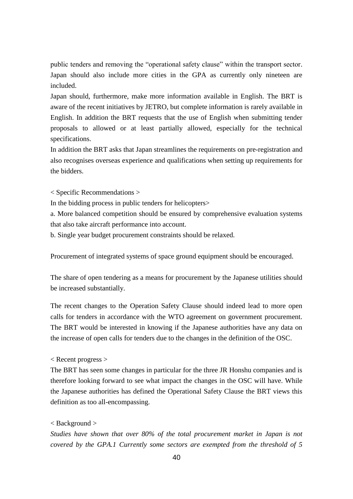public tenders and removing the "operational safety clause" within the transport sector. Japan should also include more cities in the GPA as currently only nineteen are included.

Japan should, furthermore, make more information available in English. The BRT is aware of the recent initiatives by JETRO, but complete information is rarely available in English. In addition the BRT requests that the use of English when submitting tender proposals to allowed or at least partially allowed, especially for the technical specifications.

In addition the BRT asks that Japan streamlines the requirements on pre-registration and also recognises overseas experience and qualifications when setting up requirements for the bidders.

< Specific Recommendations >

In the bidding process in public tenders for helicopters>

a. More balanced competition should be ensured by comprehensive evaluation systems that also take aircraft performance into account.

b. Single year budget procurement constraints should be relaxed.

Procurement of integrated systems of space ground equipment should be encouraged.

The share of open tendering as a means for procurement by the Japanese utilities should be increased substantially.

The recent changes to the Operation Safety Clause should indeed lead to more open calls for tenders in accordance with the WTO agreement on government procurement. The BRT would be interested in knowing if the Japanese authorities have any data on the increase of open calls for tenders due to the changes in the definition of the OSC.

# < Recent progress >

The BRT has seen some changes in particular for the three JR Honshu companies and is therefore looking forward to see what impact the changes in the OSC will have. While the Japanese authorities has defined the Operational Safety Clause the BRT views this definition as too all-encompassing.

### < Background >

*Studies have shown that over 80% of the total procurement market in Japan is not covered by the GPA.1 Currently some sectors are exempted from the threshold of 5*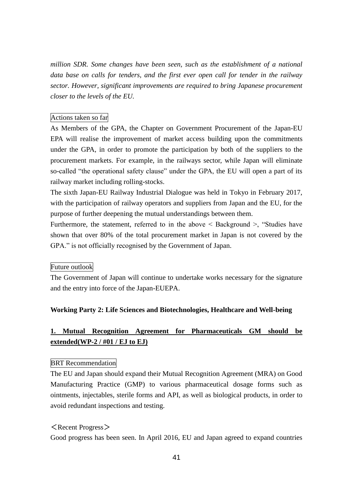*million SDR. Some changes have been seen, such as the establishment of a national data base on calls for tenders, and the first ever open call for tender in the railway sector. However, significant improvements are required to bring Japanese procurement closer to the levels of the EU.* 

# Actions taken so far

As Members of the GPA, the Chapter on Government Procurement of the Japan-EU EPA will realise the improvement of market access building upon the commitments under the GPA, in order to promote the participation by both of the suppliers to the procurement markets. For example, in the railways sector, while Japan will eliminate so-called "the operational safety clause" under the GPA, the EU will open a part of its railway market including rolling-stocks.

The sixth Japan-EU Railway Industrial Dialogue was held in Tokyo in February 2017, with the participation of railway operators and suppliers from Japan and the EU, for the purpose of further deepening the mutual understandings between them.

Furthermore, the statement, referred to in the above  $\leq$  Background  $\geq$ , "Studies have shown that over 80% of the total procurement market in Japan is not covered by the GPA." is not officially recognised by the Government of Japan.

### Future outlook

The Government of Japan will continue to undertake works necessary for the signature and the entry into force of the Japan-EUEPA.

# **Working Party 2: Life Sciences and Biotechnologies, Healthcare and Well-being**

# **1. Mutual Recognition Agreement for Pharmaceuticals GM should be extended(WP-2 / #01 / EJ to EJ)**

### BRT Recommendation

The EU and Japan should expand their Mutual Recognition Agreement (MRA) on Good Manufacturing Practice (GMP) to various pharmaceutical dosage forms such as ointments, injectables, sterile forms and API, as well as biological products, in order to avoid redundant inspections and testing.

### $\langle$  Recent Progress $\rangle$

Good progress has been seen. In April 2016, EU and Japan agreed to expand countries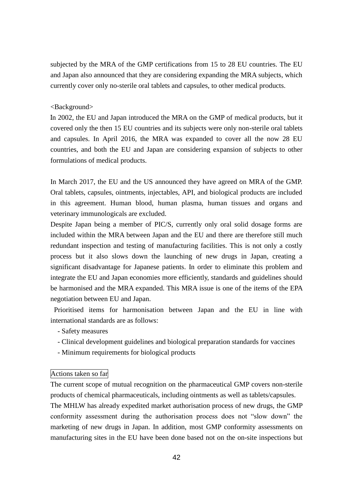subjected by the MRA of the GMP certifications from 15 to 28 EU countries. The EU and Japan also announced that they are considering expanding the MRA subjects, which currently cover only no-sterile oral tablets and capsules, to other medical products.

# <Background>

In 2002, the EU and Japan introduced the MRA on the GMP of medical products, but it covered only the then 15 EU countries and its subjects were only non-sterile oral tablets and capsules. In April 2016, the MRA was expanded to cover all the now 28 EU countries, and both the EU and Japan are considering expansion of subjects to other formulations of medical products.

In March 2017, the EU and the US announced they have agreed on MRA of the GMP. Oral tablets, capsules, ointments, injectables, API, and biological products are included in this agreement. Human blood, human plasma, human tissues and organs and veterinary immunologicals are excluded.

Despite Japan being a member of PIC/S, currently only oral solid dosage forms are included within the MRA between Japan and the EU and there are therefore still much redundant inspection and testing of manufacturing facilities. This is not only a costly process but it also slows down the launching of new drugs in Japan, creating a significant disadvantage for Japanese patients. In order to eliminate this problem and integrate the EU and Japan economies more efficiently, standards and guidelines should be harmonised and the MRA expanded. This MRA issue is one of the items of the EPA negotiation between EU and Japan.

Prioritised items for harmonisation between Japan and the EU in line with international standards are as follows:

- Safety measures
- Clinical development guidelines and biological preparation standards for vaccines
- Minimum requirements for biological products

# Actions taken so far

The current scope of mutual recognition on the pharmaceutical GMP covers non-sterile products of chemical pharmaceuticals, including ointments as well as tablets/capsules. The MHLW has already expedited market authorisation process of new drugs, the GMP conformity assessment during the authorisation process does not "slow down" the marketing of new drugs in Japan. In addition, most GMP conformity assessments on manufacturing sites in the EU have been done based not on the on-site inspections but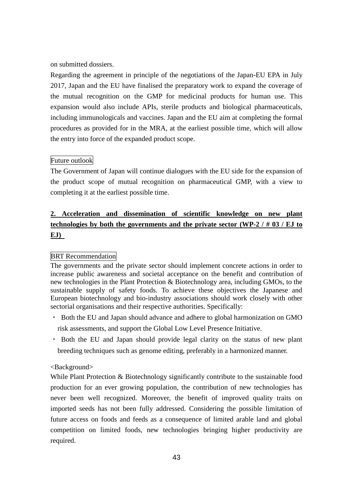on submitted dossiers.

Regarding the agreement in principle of the negotiations of the Japan-EU EPA in July 2017, Japan and the EU have finalised the preparatory work to expand the coverage of the mutual recognition on the GMP for medicinal products for human use. This expansion would also include APIs, sterile products and biological pharmaceuticals, including immunologicals and vaccines. Japan and the EU aim at completing the formal procedures as provided for in the MRA, at the earliest possible time, which will allow the entry into force of the expanded product scope.

# Future outlook

The Government of Japan will continue dialogues with the EU side for the expansion of the product scope of mutual recognition on pharmaceutical GMP, with a view to completing it at the earliest possible time.

# **2. Acceleration and dissemination of scientific knowledge on new plant technologies by both the governments and the private sector (WP-2 / # 03 / EJ to EJ)**

# BRT Recommendation

The governments and the private sector should implement concrete actions in order to increase public awareness and societal acceptance on the benefit and contribution of new technologies in the Plant Protection & Biotechnology area, including GMOs, to the sustainable supply of safety foods. To achieve these objectives the Japanese and European biotechnology and bio-industry associations should work closely with other sectorial organisations and their respective authorities. Specifically:

- ・ Both the EU and Japan should advance and adhere to global harmonization on GMO risk assessments, and support the Global Low Level Presence Initiative.
- ・ Both the EU and Japan should provide legal clarity on the status of new plant breeding techniques such as genome editing, preferably in a harmonized manner.

# <Background>

While Plant Protection & Biotechnology significantly contribute to the sustainable food production for an ever growing population, the contribution of new technologies has never been well recognized. Moreover, the benefit of improved quality traits on imported seeds has not been fully addressed. Considering the possible limitation of future access on foods and feeds as a consequence of limited arable land and global competition on limited foods, new technologies bringing higher productivity are required.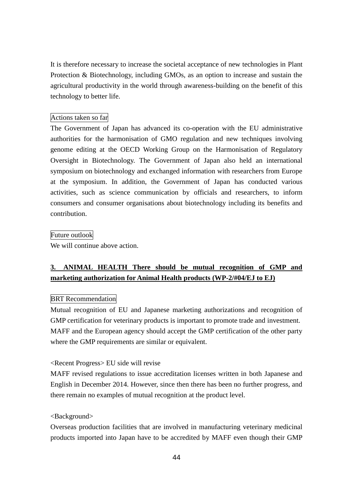It is therefore necessary to increase the societal acceptance of new technologies in Plant Protection & Biotechnology, including GMOs, as an option to increase and sustain the agricultural productivity in the world through awareness-building on the benefit of this technology to better life.

# Actions taken so far

The Government of Japan has advanced its co-operation with the EU administrative authorities for the harmonisation of GMO regulation and new techniques involving genome editing at the OECD Working Group on the Harmonisation of Regulatory Oversight in Biotechnology. The Government of Japan also held an international symposium on biotechnology and exchanged information with researchers from Europe at the symposium. In addition, the Government of Japan has conducted various activities, such as science communication by officials and researchers, to inform consumers and consumer organisations about biotechnology including its benefits and contribution.

### Future outlook

We will continue above action.

# **3. ANIMAL HEALTH There should be mutual recognition of GMP and marketing authorization for Animal Health products (WP-2/#04/EJ to EJ)**

# BRT Recommendation

Mutual recognition of EU and Japanese marketing authorizations and recognition of GMP certification for veterinary products is important to promote trade and investment. MAFF and the European agency should accept the GMP certification of the other party where the GMP requirements are similar or equivalent.

### <Recent Progress> EU side will revise

MAFF revised regulations to issue accreditation licenses written in both Japanese and English in December 2014. However, since then there has been no further progress, and there remain no examples of mutual recognition at the product level.

#### <Background>

Overseas production facilities that are involved in manufacturing veterinary medicinal products imported into Japan have to be accredited by MAFF even though their GMP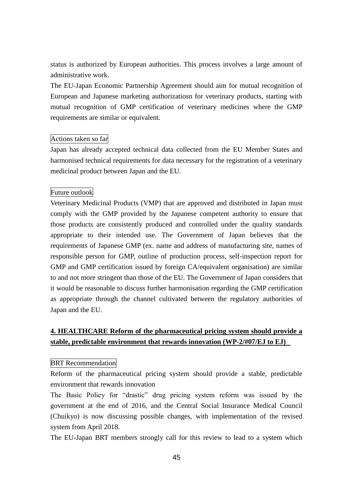status is authorized by European authorities. This process involves a large amount of administrative work.

The EU-Japan Economic Partnership Agreement should aim for mutual recognition of European and Japanese marketing authorizatiosn for veterinary products, starting with mutual recognition of GMP certification of veterinary medicines where the GMP requirements are similar or equivalent.

# Actions taken so far

Japan has already accepted technical data collected from the EU Member States and harmonised technical requirements for data necessary for the registration of a veterinary medicinal product between Japan and the EU.

# Future outlook

Veterinary Medicinal Products (VMP) that are approved and distributed in Japan must comply with the GMP provided by the Japanese competent authority to ensure that those products are consistently produced and controlled under the quality standards appropriate to their intended use. The Government of Japan believes that the requirements of Japanese GMP (ex. name and address of manufacturing site, names of responsible person for GMP, outline of production process, self-inspection report for GMP and GMP certification issued by foreign CA/equivalent organisation) are similar to and not more stringent than those of the EU. The Government of Japan considers that it would be reasonable to discuss further harmonisation regarding the GMP certification as appropriate through the channel cultivated between the regulatory authorities of Japan and the EU.

# **4. HEALTHCARE Reform of the pharmaceutical pricing system should provide a stable, predictable environment that rewards innovation (WP-2/#07/EJ to EJ)**

#### BRT Recommendation

Reform of the pharmaceutical pricing system should provide a stable, predictable environment that rewards innovation

The Basic Policy for "drastic" drug pricing system reform was issued by the government at the end of 2016, and the Central Social Insurance Medical Council (Chuikyo) is now discussing possible changes, with implementation of the revised system from April 2018.

The EU-Japan BRT members strongly call for this review to lead to a system which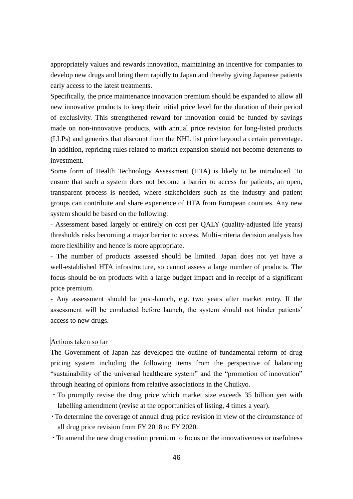appropriately values and rewards innovation, maintaining an incentive for companies to develop new drugs and bring them rapidly to Japan and thereby giving Japanese patients early access to the latest treatments.

Specifically, the price maintenance innovation premium should be expanded to allow all new innovative products to keep their initial price level for the duration of their period of exclusivity. This strengthened reward for innovation could be funded by savings made on non-innovative products, with annual price revision for long-listed products (LLPs) and generics that discount from the NHL list price beyond a certain percentage. In addition, repricing rules related to market expansion should not become deterrents to investment.

Some form of Health Technology Assessment (HTA) is likely to be introduced. To ensure that such a system does not become a barrier to access for patients, an open, transparent process is needed, where stakeholders such as the industry and patient groups can contribute and share experience of HTA from European counties. Any new system should be based on the following:

- Assessment based largely or entirely on cost per QALY (quality-adjusted life years) thresholds risks becoming a major barrier to access. Multi-criteria decision analysis has more flexibility and hence is more appropriate.

- The number of products assessed should be limited. Japan does not yet have a well-established HTA infrastructure, so cannot assess a large number of products. The focus should be on products with a large budget impact and in receipt of a significant price premium.

- Any assessment should be post-launch, e.g. two years after market entry. If the assessment will be conducted before launch, the system should not hinder patients' access to new drugs.

### Actions taken so far

The Government of Japan has developed the outline of fundamental reform of drug pricing system including the following items from the perspective of balancing "sustainability of the universal healthcare system" and the "promotion of innovation" through hearing of opinions from relative associations in the Chuikyo.

- ・To promptly revise the drug price which market size exceeds 35 billion yen with labelling amendment (revise at the opportunities of listing, 4 times a year).
- ・To determine the coverage of annual drug price revision in view of the circumstance of all drug price revision from FY 2018 to FY 2020.
- ・To amend the new drug creation premium to focus on the innovativeness or usefulness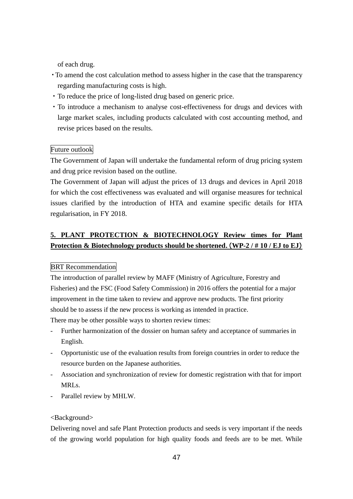of each drug.

- ・To amend the cost calculation method to assess higher in the case that the transparency regarding manufacturing costs is high.
- ・To reduce the price of long-listed drug based on generic price.
- ・To introduce a mechanism to analyse cost-effectiveness for drugs and devices with large market scales, including products calculated with cost accounting method, and revise prices based on the results.

# Future outlook

The Government of Japan will undertake the fundamental reform of drug pricing system and drug price revision based on the outline.

The Government of Japan will adjust the prices of 13 drugs and devices in April 2018 for which the cost effectiveness was evaluated and will organise measures for technical issues clarified by the introduction of HTA and examine specific details for HTA regularisation, in FY 2018.

# **5. PLANT PROTECTION & BIOTECHNOLOGY Review times for Plant Protection & Biotechnology products should be shortened**(**. WP-2 / # 10 / EJ to EJ**)

# BRT Recommendation

The introduction of parallel review by MAFF (Ministry of Agriculture, Forestry and Fisheries) and the FSC (Food Safety Commission) in 2016 offers the potential for a major improvement in the time taken to review and approve new products. The first priority should be to assess if the new process is working as intended in practice.

There may be other possible ways to shorten review times:

- Further harmonization of the dossier on human safety and acceptance of summaries in English.
- Opportunistic use of the evaluation results from foreign countries in order to reduce the resource burden on the Japanese authorities.
- Association and synchronization of review for domestic registration with that for import MRLs.
- Parallel review by MHLW.

### <Background>

Delivering novel and safe Plant Protection products and seeds is very important if the needs of the growing world population for high quality foods and feeds are to be met. While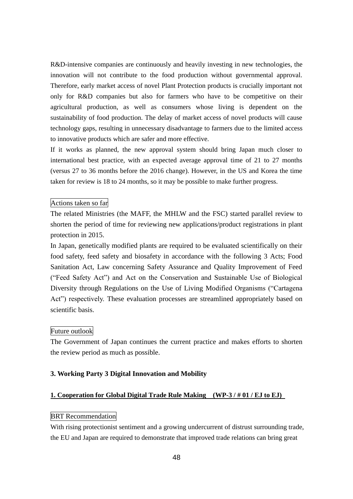R&D-intensive companies are continuously and heavily investing in new technologies, the innovation will not contribute to the food production without governmental approval. Therefore, early market access of novel Plant Protection products is crucially important not only for R&D companies but also for farmers who have to be competitive on their agricultural production, as well as consumers whose living is dependent on the sustainability of food production. The delay of market access of novel products will cause technology gaps, resulting in unnecessary disadvantage to farmers due to the limited access to innovative products which are safer and more effective.

If it works as planned, the new approval system should bring Japan much closer to international best practice, with an expected average approval time of 21 to 27 months (versus 27 to 36 months before the 2016 change). However, in the US and Korea the time taken for review is 18 to 24 months, so it may be possible to make further progress.

### Actions taken so far

The related Ministries (the MAFF, the MHLW and the FSC) started parallel review to shorten the period of time for reviewing new applications/product registrations in plant protection in 2015.

In Japan, genetically modified plants are required to be evaluated scientifically on their food safety, feed safety and biosafety in accordance with the following 3 Acts; Food Sanitation Act, Law concerning Safety Assurance and Quality Improvement of Feed ("Feed Safety Act") and Act on the Conservation and Sustainable Use of Biological Diversity through Regulations on the Use of Living Modified Organisms ("Cartagena Act") respectively. These evaluation processes are streamlined appropriately based on scientific basis.

### Future outlook

The Government of Japan continues the current practice and makes efforts to shorten the review period as much as possible.

### **3. Working Party 3 Digital Innovation and Mobility**

### **1. Cooperation for Global Digital Trade Rule Making (WP-3 / # 01 / EJ to EJ)**

### BRT Recommendation

With rising protectionist sentiment and a growing undercurrent of distrust surrounding trade, the EU and Japan are required to demonstrate that improved trade relations can bring great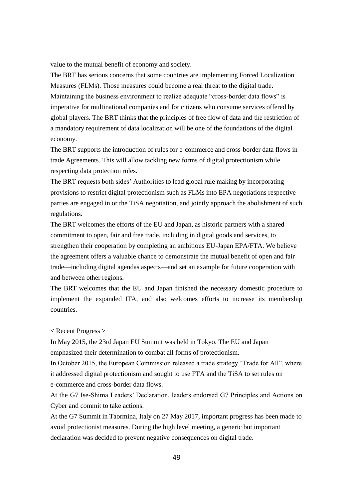value to the mutual benefit of economy and society.

The BRT has serious concerns that some countries are implementing Forced Localization Measures (FLMs). Those measures could become a real threat to the digital trade. Maintaining the business environment to realize adequate "cross-border data flows" is imperative for multinational companies and for citizens who consume services offered by global players. The BRT thinks that the principles of free flow of data and the restriction of a mandatory requirement of data localization will be one of the foundations of the digital economy.

The BRT supports the introduction of rules for e-commerce and cross-border data flows in trade Agreements. This will allow tackling new forms of digital protectionism while respecting data protection rules.

The BRT requests both sides' Authorities to lead global rule making by incorporating provisions to restrict digital protectionism such as FLMs into EPA negotiations respective parties are engaged in or the TiSA negotiation, and jointly approach the abolishment of such regulations.

The BRT welcomes the efforts of the EU and Japan, as historic partners with a shared commitment to open, fair and free trade, including in digital goods and services, to strengthen their cooperation by completing an ambitious EU-Japan EPA/FTA. We believe the agreement offers a valuable chance to demonstrate the mutual benefit of open and fair trade—including digital agendas aspects—and set an example for future cooperation with and between other regions.

The BRT welcomes that the EU and Japan finished the necessary domestic procedure to implement the expanded ITA, and also welcomes efforts to increase its membership countries.

#### < Recent Progress >

In May 2015, the 23rd Japan EU Summit was held in Tokyo. The EU and Japan emphasized their determination to combat all forms of protectionism.

In October 2015, the European Commission released a trade strategy "Trade for All", where it addressed digital protectionism and sought to use FTA and the TiSA to set rules on e-commerce and cross-border data flows.

At the G7 Ise-Shima Leaders' Declaration, leaders endorsed G7 Principles and Actions on Cyber and commit to take actions.

At the G7 Summit in Taormina, Italy on 27 May 2017, important progress has been made to avoid protectionist measures. During the high level meeting, a generic but important declaration was decided to prevent negative consequences on digital trade.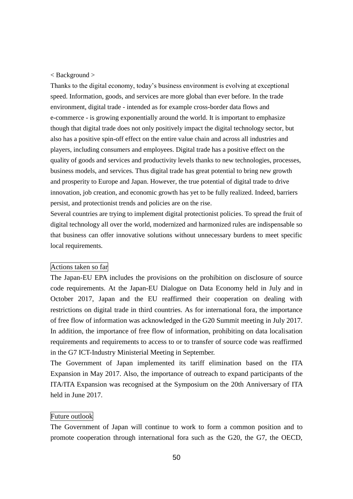### < Background >

Thanks to the digital economy, today's business environment is evolving at exceptional speed. Information, goods, and services are more global than ever before. In the trade environment, digital trade - intended as for example cross-border data flows and e-commerce - is growing exponentially around the world. It is important to emphasize though that digital trade does not only positively impact the digital technology sector, but also has a positive spin-off effect on the entire value chain and across all industries and players, including consumers and employees. Digital trade has a positive effect on the quality of goods and services and productivity levels thanks to new technologies, processes, business models, and services. Thus digital trade has great potential to bring new growth and prosperity to Europe and Japan. However, the true potential of digital trade to drive innovation, job creation, and economic growth has yet to be fully realized. Indeed, barriers persist, and protectionist trends and policies are on the rise.

Several countries are trying to implement digital protectionist policies. To spread the fruit of digital technology all over the world, modernized and harmonized rules are indispensable so that business can offer innovative solutions without unnecessary burdens to meet specific local requirements.

### Actions taken so far

The Japan-EU EPA includes the provisions on the prohibition on disclosure of source code requirements. At the Japan-EU Dialogue on Data Economy held in July and in October 2017, Japan and the EU reaffirmed their cooperation on dealing with restrictions on digital trade in third countries. As for international fora, the importance of free flow of information was acknowledged in the G20 Summit meeting in July 2017. In addition, the importance of free flow of information, prohibiting on data localisation requirements and requirements to access to or to transfer of source code was reaffirmed in the G7 ICT-Industry Ministerial Meeting in September.

The Government of Japan implemented its tariff elimination based on the ITA Expansion in May 2017. Also, the importance of outreach to expand participants of the ITA/ITA Expansion was recognised at the Symposium on the 20th Anniversary of ITA held in June 2017.

### Future outlook

The Government of Japan will continue to work to form a common position and to promote cooperation through international fora such as the G20, the G7, the OECD,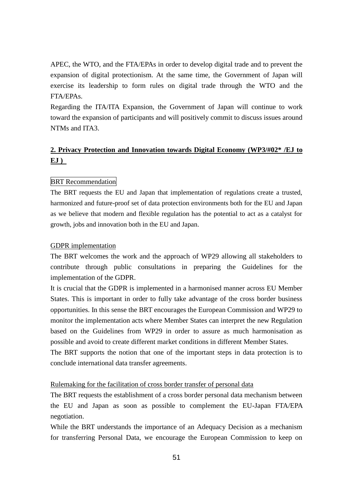APEC, the WTO, and the FTA/EPAs in order to develop digital trade and to prevent the expansion of digital protectionism. At the same time, the Government of Japan will exercise its leadership to form rules on digital trade through the WTO and the FTA/EPAs.

Regarding the ITA/ITA Expansion, the Government of Japan will continue to work toward the expansion of participants and will positively commit to discuss issues around NTMs and ITA3.

# **2. Privacy Protection and Innovation towards Digital Economy (WP3/#02\* /EJ to EJ )**

# BRT Recommendation

The BRT requests the EU and Japan that implementation of regulations create a trusted, harmonized and future-proof set of data protection environments both for the EU and Japan as we believe that modern and flexible regulation has the potential to act as a catalyst for growth, jobs and innovation both in the EU and Japan.

### GDPR implementation

The BRT welcomes the work and the approach of WP29 allowing all stakeholders to contribute through public consultations in preparing the Guidelines for the implementation of the GDPR.

It is crucial that the GDPR is implemented in a harmonised manner across EU Member States. This is important in order to fully take advantage of the cross border business opportunities. In this sense the BRT encourages the European Commission and WP29 to monitor the implementation acts where Member States can interpret the new Regulation based on the Guidelines from WP29 in order to assure as much harmonisation as possible and avoid to create different market conditions in different Member States.

The BRT supports the notion that one of the important steps in data protection is to conclude international data transfer agreements.

# Rulemaking for the facilitation of cross border transfer of personal data

The BRT requests the establishment of a cross border personal data mechanism between the EU and Japan as soon as possible to complement the EU-Japan FTA/EPA negotiation.

While the BRT understands the importance of an Adequacy Decision as a mechanism for transferring Personal Data, we encourage the European Commission to keep on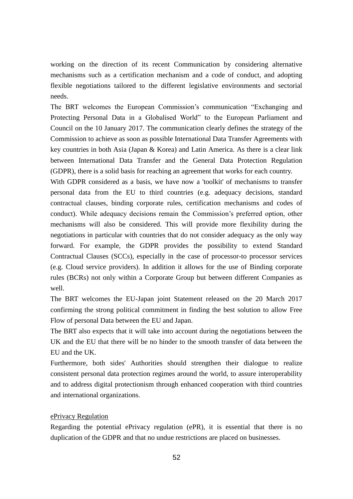working on the direction of its recent Communication by considering alternative mechanisms such as a certification mechanism and a code of conduct, and adopting flexible negotiations tailored to the different legislative environments and sectorial needs.

The BRT welcomes the European Commission's communication "Exchanging and Protecting Personal Data in a Globalised World" to the European Parliament and Council on the 10 January 2017. The communication clearly defines the strategy of the Commission to achieve as soon as possible International Data Transfer Agreements with key countries in both Asia (Japan & Korea) and Latin America. As there is a clear link between International Data Transfer and the General Data Protection Regulation (GDPR), there is a solid basis for reaching an agreement that works for each country.

With GDPR considered as a basis, we have now a 'toolkit' of mechanisms to transfer personal data from the EU to third countries (e.g. adequacy decisions, standard contractual clauses, binding corporate rules, certification mechanisms and codes of conduct). While adequacy decisions remain the Commission's preferred option, other mechanisms will also be considered. This will provide more flexibility during the negotiations in particular with countries that do not consider adequacy as the only way forward. For example, the GDPR provides the possibility to extend Standard Contractual Clauses (SCCs), especially in the case of processor-to processor services (e.g. Cloud service providers). In addition it allows for the use of Binding corporate rules (BCRs) not only within a Corporate Group but between different Companies as well.

The BRT welcomes the EU-Japan joint Statement released on the 20 March 2017 confirming the strong political commitment in finding the best solution to allow Free Flow of personal Data between the EU and Japan.

The BRT also expects that it will take into account during the negotiations between the UK and the EU that there will be no hinder to the smooth transfer of data between the EU and the UK.

Furthermore, both sides' Authorities should strengthen their dialogue to realize consistent personal data protection regimes around the world, to assure interoperability and to address digital protectionism through enhanced cooperation with third countries and international organizations.

### ePrivacy Regulation

Regarding the potential ePrivacy regulation (ePR), it is essential that there is no duplication of the GDPR and that no undue restrictions are placed on businesses.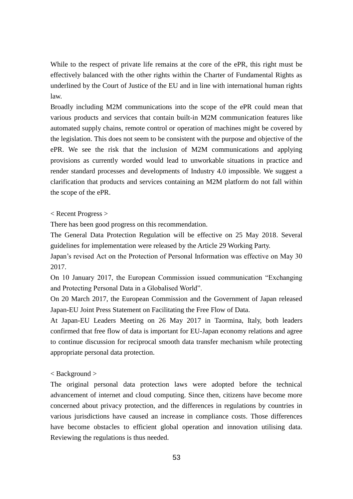While to the respect of private life remains at the core of the ePR, this right must be effectively balanced with the other rights within the Charter of Fundamental Rights as underlined by the Court of Justice of the EU and in line with international human rights law.

Broadly including M2M communications into the scope of the ePR could mean that various products and services that contain built-in M2M communication features like automated supply chains, remote control or operation of machines might be covered by the legislation. This does not seem to be consistent with the purpose and objective of the ePR. We see the risk that the inclusion of M2M communications and applying provisions as currently worded would lead to unworkable situations in practice and render standard processes and developments of Industry 4.0 impossible. We suggest a clarification that products and services containing an M2M platform do not fall within the scope of the ePR.

# < Recent Progress >

There has been good progress on this recommendation.

The General Data Protection Regulation will be effective on 25 May 2018. Several guidelines for implementation were released by the Article 29 Working Party.

Japan's revised Act on the Protection of Personal Information was effective on May 30 2017.

On 10 January 2017, the European Commission issued communication "Exchanging and Protecting Personal Data in a Globalised World".

On 20 March 2017, the European Commission and the Government of Japan released Japan-EU Joint Press Statement on Facilitating the Free Flow of Data.

At Japan-EU Leaders Meeting on 26 May 2017 in Taormina, Italy, both leaders confirmed that free flow of data is important for EU-Japan economy relations and agree to continue discussion for reciprocal smooth data transfer mechanism while protecting appropriate personal data protection.

# < Background >

The original personal data protection laws were adopted before the technical advancement of internet and cloud computing. Since then, citizens have become more concerned about privacy protection, and the differences in regulations by countries in various jurisdictions have caused an increase in compliance costs. Those differences have become obstacles to efficient global operation and innovation utilising data. Reviewing the regulations is thus needed.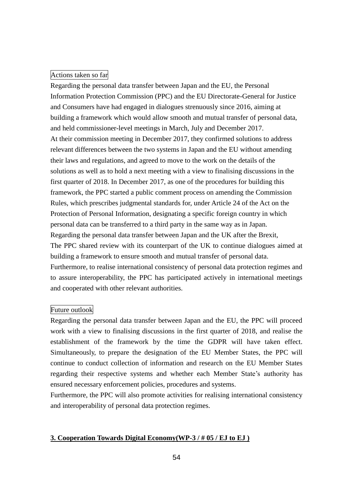### Actions taken so far

Regarding the personal data transfer between Japan and the EU, the Personal Information Protection Commission (PPC) and the EU Directorate-General for Justice and Consumers have had engaged in dialogues strenuously since 2016, aiming at building a framework which would allow smooth and mutual transfer of personal data, and held commissioner-level meetings in March, July and December 2017. At their commission meeting in December 2017, they confirmed solutions to address relevant differences between the two systems in Japan and the EU without amending their laws and regulations, and agreed to move to the work on the details of the solutions as well as to hold a next meeting with a view to finalising discussions in the first quarter of 2018. In December 2017, as one of the procedures for building this framework, the PPC started a public comment process on amending the Commission Rules, which prescribes judgmental standards for, under Article 24 of the Act on the Protection of Personal Information, designating a specific foreign country in which personal data can be transferred to a third party in the same way as in Japan. Regarding the personal data transfer between Japan and the UK after the Brexit, The PPC shared review with its counterpart of the UK to continue dialogues aimed at building a framework to ensure smooth and mutual transfer of personal data. Furthermore, to realise international consistency of personal data protection regimes and to assure interoperability, the PPC has participated actively in international meetings and cooperated with other relevant authorities.

### Future outlook

Regarding the personal data transfer between Japan and the EU, the PPC will proceed work with a view to finalising discussions in the first quarter of 2018, and realise the establishment of the framework by the time the GDPR will have taken effect. Simultaneously, to prepare the designation of the EU Member States, the PPC will continue to conduct collection of information and research on the EU Member States regarding their respective systems and whether each Member State's authority has ensured necessary enforcement policies, procedures and systems.

Furthermore, the PPC will also promote activities for realising international consistency and interoperability of personal data protection regimes.

# **3. Cooperation Towards Digital Economy(WP-3 / # 05 / EJ to EJ )**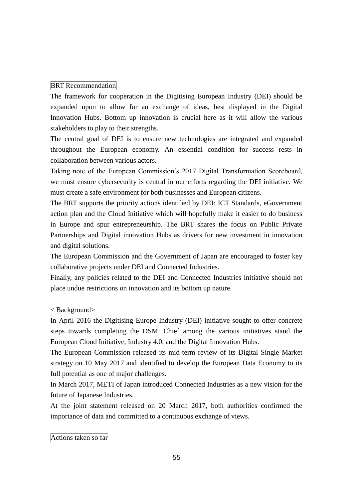# BRT Recommendation

The framework for cooperation in the Digitising European Industry (DEI) should be expanded upon to allow for an exchange of ideas, best displayed in the Digital Innovation Hubs. Bottom up innovation is crucial here as it will allow the various stakeholders to play to their strengths.

The central goal of DEI is to ensure new technologies are integrated and expanded throughout the European economy. An essential condition for success rests in collaboration between various actors.

Taking note of the European Commission's 2017 Digital Transformation Scoreboard, we must ensure cybersecurity is central in our efforts regarding the DEI initiative. We must create a safe environment for both businesses and European citizens.

The BRT supports the priority actions identified by DEI: ICT Standards, eGovernment action plan and the Cloud Initiative which will hopefully make it easier to do business in Europe and spur entrepreneurship. The BRT shares the focus on Public Private Partnerships and Digital innovation Hubs as drivers for new investment in innovation and digital solutions.

The European Commission and the Government of Japan are encouraged to foster key collaborative projects under DEI and Connected Industries.

Finally, any policies related to the DEI and Connected Industries initiative should not place undue restrictions on innovation and its bottom up nature.

< Background>

In April 2016 the Digitising Europe Industry (DEI) initiative sought to offer concrete steps towards completing the DSM. Chief among the various initiatives stand the European Cloud Initiative, Industry 4.0, and the Digital Innovation Hubs.

The European Commission released its mid-term review of its Digital Single Market strategy on 10 May 2017 and identified to develop the European Data Economy to its full potential as one of major challenges.

In March 2017, METI of Japan introduced Connected Industries as a new vision for the future of Japanese Industries.

At the joint statement released on 20 March 2017, both authorities confirmed the importance of data and committed to a continuous exchange of views.

Actions taken so far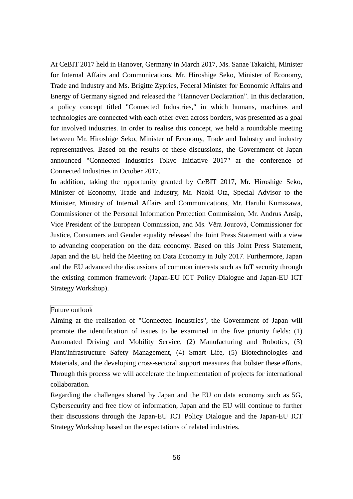At CeBIT 2017 held in Hanover, Germany in March 2017, Ms. Sanae Takaichi, Minister for Internal Affairs and Communications, Mr. Hiroshige Seko, Minister of Economy, Trade and Industry and Ms. Brigitte Zypries, Federal Minister for Economic Affairs and Energy of Germany signed and released the "Hannover Declaration". In this declaration, a policy concept titled "Connected Industries," in which humans, machines and technologies are connected with each other even across borders, was presented as a goal for involved industries. In order to realise this concept, we held a roundtable meeting between Mr. Hiroshige Seko, Minister of Economy, Trade and Industry and industry representatives. Based on the results of these discussions, the Government of Japan announced "Connected Industries Tokyo Initiative 2017" at the conference of Connected Industries in October 2017.

In addition, taking the opportunity granted by CeBIT 2017, Mr. Hiroshige Seko, Minister of Economy, Trade and Industry, Mr. Naoki Ota, Special Advisor to the Minister, Ministry of Internal Affairs and Communications, Mr. Haruhi Kumazawa, Commissioner of the Personal Information Protection Commission, Mr. Andrus Ansip, Vice President of the European Commission, and Ms. Věra Jourová, Commissioner for Justice, Consumers and Gender equality released the Joint Press Statement with a view to advancing cooperation on the data economy. Based on this Joint Press Statement, Japan and the EU held the Meeting on Data Economy in July 2017. Furthermore, Japan and the EU advanced the discussions of common interests such as IoT security through the existing common framework (Japan-EU ICT Policy Dialogue and Japan-EU ICT Strategy Workshop).

#### Future outlook

Aiming at the realisation of "Connected Industries", the Government of Japan will promote the identification of issues to be examined in the five priority fields: (1) Automated Driving and Mobility Service, (2) Manufacturing and Robotics, (3) Plant/Infrastructure Safety Management, (4) Smart Life, (5) Biotechnologies and Materials, and the developing cross-sectoral support measures that bolster these efforts. Through this process we will accelerate the implementation of projects for international collaboration.

Regarding the challenges shared by Japan and the EU on data economy such as 5G, Cybersecurity and free flow of information, Japan and the EU will continue to further their discussions through the Japan-EU ICT Policy Dialogue and the Japan-EU ICT Strategy Workshop based on the expectations of related industries.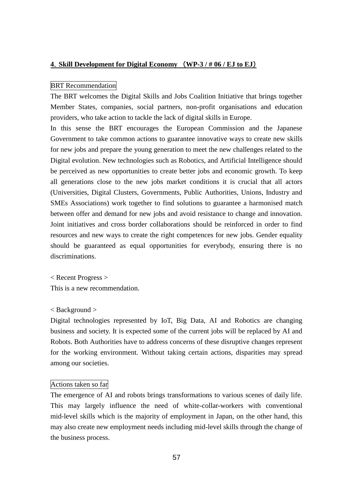### **4**.**Skill Development for Digital Economy** (**WP-3 / # 06 / EJ to EJ**)

# BRT Recommendation

The BRT welcomes the Digital Skills and Jobs Coalition Initiative that brings together Member States, companies, social partners, non-profit organisations and education providers, who take action to tackle the lack of digital skills in Europe.

In this sense the BRT encourages the European Commission and the Japanese Government to take common actions to guarantee innovative ways to create new skills for new jobs and prepare the young generation to meet the new challenges related to the Digital evolution. New technologies such as Robotics, and Artificial Intelligence should be perceived as new opportunities to create better jobs and economic growth. To keep all generations close to the new jobs market conditions it is crucial that all actors (Universities, Digital Clusters, Governments, Public Authorities, Unions, Industry and SMEs Associations) work together to find solutions to guarantee a harmonised match between offer and demand for new jobs and avoid resistance to change and innovation. Joint initiatives and cross border collaborations should be reinforced in order to find resources and new ways to create the right competences for new jobs. Gender equality should be guaranteed as equal opportunities for everybody, ensuring there is no discriminations.

< Recent Progress > This is a new recommendation.

### < Background >

Digital technologies represented by IoT, Big Data, AI and Robotics are changing business and society. It is expected some of the current jobs will be replaced by AI and Robots. Both Authorities have to address concerns of these disruptive changes represent for the working environment. Without taking certain actions, disparities may spread among our societies.

### Actions taken so far

The emergence of AI and robots brings transformations to various scenes of daily life. This may largely influence the need of white-collar-workers with conventional mid-level skills which is the majority of employment in Japan, on the other hand, this may also create new employment needs including mid-level skills through the change of the business process.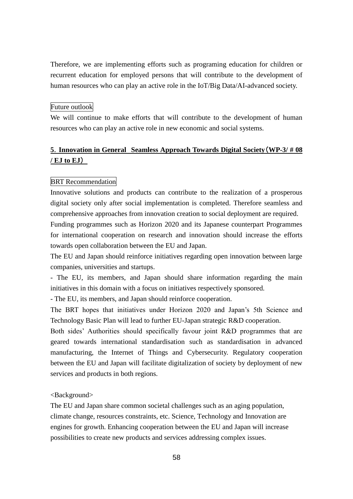Therefore, we are implementing efforts such as programing education for children or recurrent education for employed persons that will contribute to the development of human resources who can play an active role in the IoT/Big Data/AI-advanced society.

### Future outlook

We will continue to make efforts that will contribute to the development of human resources who can play an active role in new economic and social systems.

# **5**.**Innovation in General Seamless Approach Towards Digital Society**(**WP-3/ # 08 / EJ to EJ**)

### BRT Recommendation

Innovative solutions and products can contribute to the realization of a prosperous digital society only after social implementation is completed. Therefore seamless and comprehensive approaches from innovation creation to social deployment are required.

Funding programmes such as Horizon 2020 and its Japanese counterpart Programmes for international cooperation on research and innovation should increase the efforts towards open collaboration between the EU and Japan.

The EU and Japan should reinforce initiatives regarding open innovation between large companies, universities and startups.

- The EU, its members, and Japan should share information regarding the main initiatives in this domain with a focus on initiatives respectively sponsored.

- The EU, its members, and Japan should reinforce cooperation.

The BRT hopes that initiatives under Horizon 2020 and Japan's 5th Science and Technology Basic Plan will lead to further EU-Japan strategic R&D cooperation.

Both sides' Authorities should specifically favour joint R&D programmes that are geared towards international standardisation such as standardisation in advanced manufacturing, the Internet of Things and Cybersecurity. Regulatory cooperation between the EU and Japan will facilitate digitalization of society by deployment of new services and products in both regions.

# <Background>

The EU and Japan share common societal challenges such as an aging population, climate change, resources constraints, etc. Science, Technology and Innovation are engines for growth. Enhancing cooperation between the EU and Japan will increase possibilities to create new products and services addressing complex issues.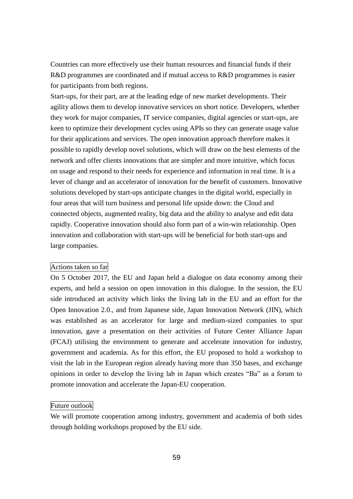Countries can more effectively use their human resources and financial funds if their R&D programmes are coordinated and if mutual access to R&D programmes is easier for participants from both regions.

Start-ups, for their part, are at the leading edge of new market developments. Their agility allows them to develop innovative services on short notice. Developers, whether they work for major companies, IT service companies, digital agencies or start-ups, are keen to optimize their development cycles using APIs so they can generate usage value for their applications and services. The open innovation approach therefore makes it possible to rapidly develop novel solutions, which will draw on the best elements of the network and offer clients innovations that are simpler and more intuitive, which focus on usage and respond to their needs for experience and information in real time. It is a lever of change and an accelerator of innovation for the benefit of customers. Innovative solutions developed by start-ups anticipate changes in the digital world, especially in four areas that will turn business and personal life upside down: the Cloud and connected objects, augmented reality, big data and the ability to analyse and edit data rapidly. Cooperative innovation should also form part of a win-win relationship. Open innovation and collaboration with start-ups will be beneficial for both start-ups and large companies.

### Actions taken so far

On 5 October 2017, the EU and Japan held a dialogue on data economy among their experts, and held a session on open innovation in this dialogue. In the session, the EU side introduced an activity which links the living lab in the EU and an effort for the Open Innovation 2.0., and from Japanese side, Japan Innovation Network (JIN), which was established as an accelerator for large and medium-sized companies to spur innovation, gave a presentation on their activities of Future Center Alliance Japan (FCAJ) utilising the environment to generate and accelerate innovation for industry, government and academia. As for this effort, the EU proposed to hold a workshop to visit the lab in the European region already having more than 350 bases, and exchange opinions in order to develop the living lab in Japan which creates "Ba" as a forum to promote innovation and accelerate the Japan-EU cooperation.

# Future outlook

We will promote cooperation among industry, government and academia of both sides through holding workshops proposed by the EU side.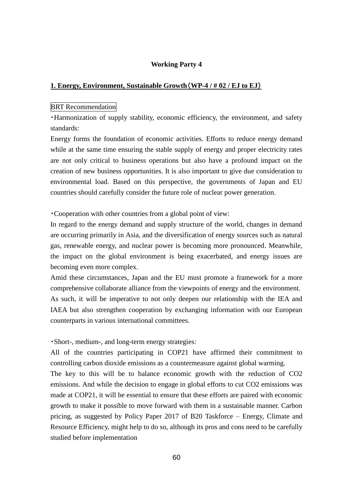# **Working Party 4**

# **1. Energy, Environment, Sustainable Growth**(**WP-4 / # 02 / EJ to EJ**)

### BRT Recommendation

・Harmonization of supply stability, economic efficiency, the environment, and safety standards:

Energy forms the foundation of economic activities. Efforts to reduce energy demand while at the same time ensuring the stable supply of energy and proper electricity rates are not only critical to business operations but also have a profound impact on the creation of new business opportunities. It is also important to give due consideration to environmental load. Based on this perspective, the governments of Japan and EU countries should carefully consider the future role of nuclear power generation.

・Cooperation with other countries from a global point of view:

In regard to the energy demand and supply structure of the world, changes in demand are occurring primarily in Asia, and the diversification of energy sources such as natural gas, renewable energy, and nuclear power is becoming more pronounced. Meanwhile, the impact on the global environment is being exacerbated, and energy issues are becoming even more complex.

Amid these circumstances, Japan and the EU must promote a framework for a more comprehensive collaborate alliance from the viewpoints of energy and the environment. As such, it will be imperative to not only deepen our relationship with the IEA and IAEA but also strengthen cooperation by exchanging information with our European counterparts in various international committees.

・Short-, medium-, and long-term energy strategies:

All of the countries participating in COP21 have affirmed their commitment to controlling carbon dioxide emissions as a countermeasure against global warming.

The key to this will be to balance economic growth with the reduction of CO2 emissions. And while the decision to engage in global efforts to cut CO2 emissions was made at COP21, it will be essential to ensure that these efforts are paired with economic growth to make it possible to move forward with them in a sustainable manner. Carbon pricing, as suggested by Policy Paper 2017 of B20 Taskforce – Energy, Climate and Resource Efficiency, might help to do so, although its pros and cons need to be carefully studied before implementation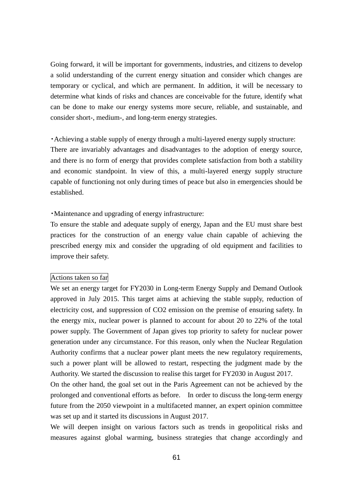Going forward, it will be important for governments, industries, and citizens to develop a solid understanding of the current energy situation and consider which changes are temporary or cyclical, and which are permanent. In addition, it will be necessary to determine what kinds of risks and chances are conceivable for the future, identify what can be done to make our energy systems more secure, reliable, and sustainable, and consider short-, medium-, and long-term energy strategies.

・Achieving a stable supply of energy through a multi-layered energy supply structure: There are invariably advantages and disadvantages to the adoption of energy source, and there is no form of energy that provides complete satisfaction from both a stability and economic standpoint. In view of this, a multi-layered energy supply structure capable of functioning not only during times of peace but also in emergencies should be established.

・Maintenance and upgrading of energy infrastructure:

To ensure the stable and adequate supply of energy, Japan and the EU must share best practices for the construction of an energy value chain capable of achieving the prescribed energy mix and consider the upgrading of old equipment and facilities to improve their safety.

### Actions taken so far

We set an energy target for FY2030 in Long-term Energy Supply and Demand Outlook approved in July 2015. This target aims at achieving the stable supply, reduction of electricity cost, and suppression of CO2 emission on the premise of ensuring safety. In the energy mix, nuclear power is planned to account for about 20 to 22% of the total power supply. The Government of Japan gives top priority to safety for nuclear power generation under any circumstance. For this reason, only when the Nuclear Regulation Authority confirms that a nuclear power plant meets the new regulatory requirements, such a power plant will be allowed to restart, respecting the judgment made by the Authority. We started the discussion to realise this target for FY2030 in August 2017.

On the other hand, the goal set out in the Paris Agreement can not be achieved by the prolonged and conventional efforts as before. In order to discuss the long-term energy future from the 2050 viewpoint in a multifaceted manner, an expert opinion committee was set up and it started its discussions in August 2017.

We will deepen insight on various factors such as trends in geopolitical risks and measures against global warming, business strategies that change accordingly and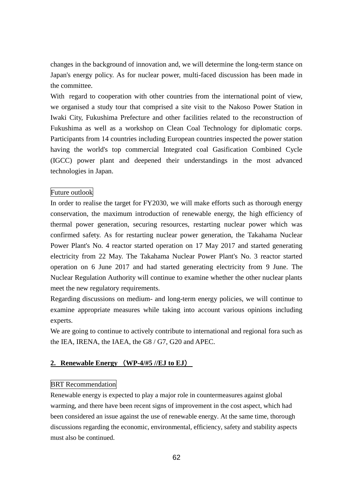changes in the background of innovation and, we will determine the long-term stance on Japan's energy policy. As for nuclear power, multi-faced discussion has been made in the committee.

With regard to cooperation with other countries from the international point of view, we organised a study tour that comprised a site visit to the Nakoso Power Station in Iwaki City, Fukushima Prefecture and other facilities related to the reconstruction of Fukushima as well as a workshop on Clean Coal Technology for diplomatic corps. Participants from 14 countries including European countries inspected the power station having the world's top commercial Integrated coal Gasification Combined Cycle (IGCC) power plant and deepened their understandings in the most advanced technologies in Japan.

# Future outlook

In order to realise the target for FY2030, we will make efforts such as thorough energy conservation, the maximum introduction of renewable energy, the high efficiency of thermal power generation, securing resources, restarting nuclear power which was confirmed safety. As for restarting nuclear power generation, the Takahama Nuclear Power Plant's No. 4 reactor started operation on 17 May 2017 and started generating electricity from 22 May. The Takahama Nuclear Power Plant's No. 3 reactor started operation on 6 June 2017 and had started generating electricity from 9 June. The Nuclear Regulation Authority will continue to examine whether the other nuclear plants meet the new regulatory requirements.

Regarding discussions on medium- and long-term energy policies, we will continue to examine appropriate measures while taking into account various opinions including experts.

We are going to continue to actively contribute to international and regional fora such as the IEA, IRENA, the IAEA, the G8 / G7, G20 and APEC.

# **2. Renewable Energy** (**WP-4/#5 //EJ to EJ**)

### BRT Recommendation

Renewable energy is expected to play a major role in countermeasures against global warming, and there have been recent signs of improvement in the cost aspect, which had been considered an issue against the use of renewable energy. At the same time, thorough discussions regarding the economic, environmental, efficiency, safety and stability aspects must also be continued.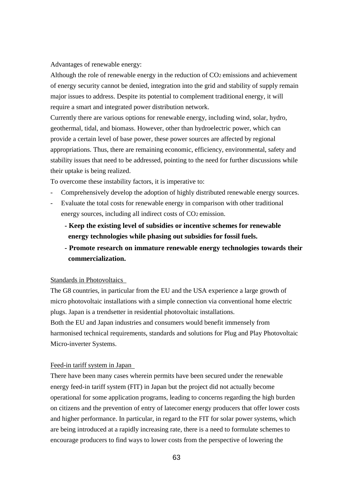Advantages of renewable energy:

Although the role of renewable energy in the reduction of CO2 emissions and achievement of energy security cannot be denied, integration into the grid and stability of supply remain major issues to address. Despite its potential to complement traditional energy, it will require a smart and integrated power distribution network.

Currently there are various options for renewable energy, including wind, solar, hydro, geothermal, tidal, and biomass. However, other than hydroelectric power, which can provide a certain level of base power, these power sources are affected by regional appropriations. Thus, there are remaining economic, efficiency, environmental, safety and stability issues that need to be addressed, pointing to the need for further discussions while their uptake is being realized.

To overcome these instability factors, it is imperative to:

- Comprehensively develop the adoption of highly distributed renewable energy sources.
- Evaluate the total costs for renewable energy in comparison with other traditional energy sources, including all indirect costs of CO2 emission.
	- **- Keep the existing level of subsidies or incentive schemes for renewable energy technologies while phasing out subsidies for fossil fuels.**
	- **- Promote research on immature renewable energy technologies towards their commercialization.**

### Standards in Photovoltaics

The G8 countries, in particular from the EU and the USA experience a large growth of micro photovoltaic installations with a simple connection via conventional home electric plugs. Japan is a trendsetter in residential photovoltaic installations.

Both the EU and Japan industries and consumers would benefit immensely from harmonised technical requirements, standards and solutions for Plug and Play Photovoltaic Micro-inverter Systems.

#### Feed-in tariff system in Japan

There have been many cases wherein permits have been secured under the renewable energy feed-in tariff system (FIT) in Japan but the project did not actually become operational for some application programs, leading to concerns regarding the high burden on citizens and the prevention of entry of latecomer energy producers that offer lower costs and higher performance. In particular, in regard to the FIT for solar power systems, which are being introduced at a rapidly increasing rate, there is a need to formulate schemes to encourage producers to find ways to lower costs from the perspective of lowering the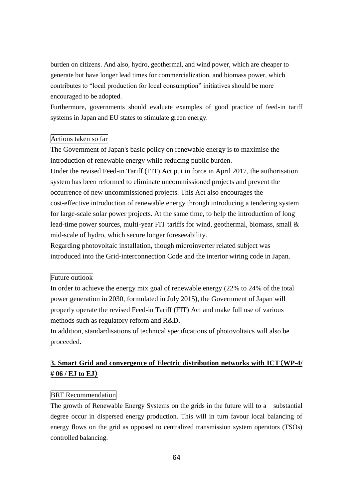burden on citizens. And also, hydro, geothermal, and wind power, which are cheaper to generate but have longer lead times for commercialization, and biomass power, which contributes to "local production for local consumption" initiatives should be more encouraged to be adopted.

Furthermore, governments should evaluate examples of good practice of feed-in tariff systems in Japan and EU states to stimulate green energy.

# Actions taken so far

The Government of Japan's basic policy on renewable energy is to maximise the introduction of renewable energy while reducing public burden.

Under the revised Feed-in Tariff (FIT) Act put in force in April 2017, the authorisation system has been reformed to eliminate uncommissioned projects and prevent the occurrence of new uncommissioned projects. This Act also encourages the cost-effective introduction of renewable energy through introducing a tendering system for large-scale solar power projects. At the same time, to help the introduction of long lead-time power sources, multi-year FIT tariffs for wind, geothermal, biomass, small & mid-scale of hydro, which secure longer foreseeability.

Regarding photovoltaic installation, though microinverter related subject was introduced into the Grid-interconnection Code and the interior wiring code in Japan.

# Future outlook

In order to achieve the energy mix goal of renewable energy (22% to 24% of the total power generation in 2030, formulated in July 2015), the Government of Japan will properly operate the revised Feed-in Tariff (FIT) Act and make full use of various methods such as regulatory reform and R&D.

In addition, standardisations of technical specifications of photovoltaics will also be proceeded.

# **3. Smart Grid and convergence of Electric distribution networks with ICT**(**WP-4/ # 06 / EJ to EJ**)

# BRT Recommendation

The growth of Renewable Energy Systems on the grids in the future will to a substantial degree occur in dispersed energy production. This will in turn favour local balancing of energy flows on the grid as opposed to centralized transmission system operators (TSOs) controlled balancing.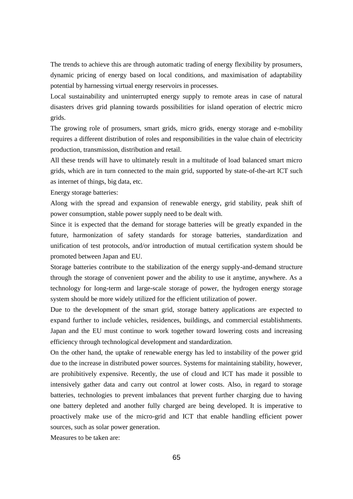The trends to achieve this are through automatic trading of energy flexibility by prosumers, dynamic pricing of energy based on local conditions, and maximisation of adaptability potential by harnessing virtual energy reservoirs in processes.

Local sustainability and uninterrupted energy supply to remote areas in case of natural disasters drives grid planning towards possibilities for island operation of electric micro grids.

The growing role of prosumers, smart grids, micro grids, energy storage and e-mobility requires a different distribution of roles and responsibilities in the value chain of electricity production, transmission, distribution and retail.

All these trends will have to ultimately result in a multitude of load balanced smart micro grids, which are in turn connected to the main grid, supported by state-of-the-art ICT such as internet of things, big data, etc.

Energy storage batteries:

Along with the spread and expansion of renewable energy, grid stability, peak shift of power consumption, stable power supply need to be dealt with.

Since it is expected that the demand for storage batteries will be greatly expanded in the future, harmonization of safety standards for storage batteries, standardization and unification of test protocols, and/or introduction of mutual certification system should be promoted between Japan and EU.

Storage batteries contribute to the stabilization of the energy supply-and-demand structure through the storage of convenient power and the ability to use it anytime, anywhere. As a technology for long-term and large-scale storage of power, the hydrogen energy storage system should be more widely utilized for the efficient utilization of power.

Due to the development of the smart grid, storage battery applications are expected to expand further to include vehicles, residences, buildings, and commercial establishments. Japan and the EU must continue to work together toward lowering costs and increasing efficiency through technological development and standardization.

On the other hand, the uptake of renewable energy has led to instability of the power grid due to the increase in distributed power sources. Systems for maintaining stability, however, are prohibitively expensive. Recently, the use of cloud and ICT has made it possible to intensively gather data and carry out control at lower costs. Also, in regard to storage batteries, technologies to prevent imbalances that prevent further charging due to having one battery depleted and another fully charged are being developed. It is imperative to proactively make use of the micro-grid and ICT that enable handling efficient power sources, such as solar power generation.

Measures to be taken are: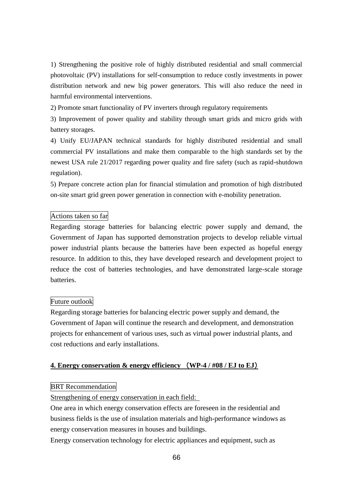1) Strengthening the positive role of highly distributed residential and small commercial photovoltaic (PV) installations for self-consumption to reduce costly investments in power distribution network and new big power generators. This will also reduce the need in harmful environmental interventions.

2) Promote smart functionality of PV inverters through regulatory requirements

3) Improvement of power quality and stability through smart grids and micro grids with battery storages.

4) Unify EU/JAPAN technical standards for highly distributed residential and small commercial PV installations and make them comparable to the high standards set by the newest USA rule 21/2017 regarding power quality and fire safety (such as rapid-shutdown regulation).

5) Prepare concrete action plan for financial stimulation and promotion of high distributed on-site smart grid green power generation in connection with e-mobility penetration.

### Actions taken so far

Regarding storage batteries for balancing electric power supply and demand, the Government of Japan has supported demonstration projects to develop reliable virtual power industrial plants because the batteries have been expected as hopeful energy resource. In addition to this, they have developed research and development project to reduce the cost of batteries technologies, and have demonstrated large-scale storage batteries.

# Future outlook

Regarding storage batteries for balancing electric power supply and demand, the Government of Japan will continue the research and development, and demonstration projects for enhancement of various uses, such as virtual power industrial plants, and cost reductions and early installations.

# **4. Energy conservation & energy efficiency** (**WP-4 / #08 / EJ to EJ**)

#### BRT Recommendation

Strengthening of energy conservation in each field:

One area in which energy conservation effects are foreseen in the residential and business fields is the use of insulation materials and high-performance windows as energy conservation measures in houses and buildings.

Energy conservation technology for electric appliances and equipment, such as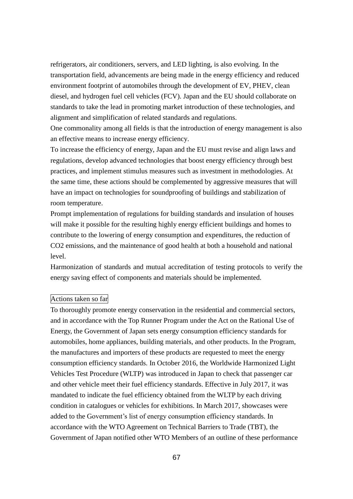refrigerators, air conditioners, servers, and LED lighting, is also evolving. In the transportation field, advancements are being made in the energy efficiency and reduced environment footprint of automobiles through the development of EV, PHEV, clean diesel, and hydrogen fuel cell vehicles (FCV). Japan and the EU should collaborate on standards to take the lead in promoting market introduction of these technologies, and alignment and simplification of related standards and regulations.

One commonality among all fields is that the introduction of energy management is also an effective means to increase energy efficiency.

To increase the efficiency of energy, Japan and the EU must revise and align laws and regulations, develop advanced technologies that boost energy efficiency through best practices, and implement stimulus measures such as investment in methodologies. At the same time, these actions should be complemented by aggressive measures that will have an impact on technologies for soundproofing of buildings and stabilization of room temperature.

Prompt implementation of regulations for building standards and insulation of houses will make it possible for the resulting highly energy efficient buildings and homes to contribute to the lowering of energy consumption and expenditures, the reduction of CO2 emissions, and the maintenance of good health at both a household and national level.

Harmonization of standards and mutual accreditation of testing protocols to verify the energy saving effect of components and materials should be implemented.

# Actions taken so far

To thoroughly promote energy conservation in the residential and commercial sectors, and in accordance with the Top Runner Program under the Act on the Rational Use of Energy, the Government of Japan sets energy consumption efficiency standards for automobiles, home appliances, building materials, and other products. In the Program, the manufactures and importers of these products are requested to meet the energy consumption efficiency standards. In October 2016, the Worldwide Harmonized Light Vehicles Test Procedure (WLTP) was introduced in Japan to check that passenger car and other vehicle meet their fuel efficiency standards. Effective in July 2017, it was mandated to indicate the fuel efficiency obtained from the WLTP by each driving condition in catalogues or vehicles for exhibitions. In March 2017, showcases were added to the Government's list of energy consumption efficiency standards. In accordance with the WTO Agreement on Technical Barriers to Trade (TBT), the Government of Japan notified other WTO Members of an outline of these performance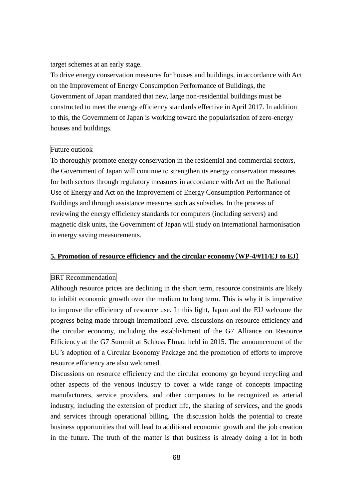target schemes at an early stage.

To drive energy conservation measures for houses and buildings, in accordance with Act on the Improvement of Energy Consumption Performance of Buildings, the Government of Japan mandated that new, large non-residential buildings must be constructed to meet the energy efficiency standards effective in April 2017. In addition to this, the Government of Japan is working toward the popularisation of zero-energy houses and buildings.

### Future outlook

To thoroughly promote energy conservation in the residential and commercial sectors, the Government of Japan will continue to strengthen its energy conservation measures for both sectors through regulatory measures in accordance with Act on the Rational Use of Energy and Act on the Improvement of Energy Consumption Performance of Buildings and through assistance measures such as subsidies. In the process of reviewing the energy efficiency standards for computers (including servers) and magnetic disk units, the Government of Japan will study on international harmonisation in energy saving measurements.

### **5. Promotion of resource efficiency and the circular economy**(**WP-4/#11/EJ to EJ**)

#### BRT Recommendation

Although resource prices are declining in the short term, resource constraints are likely to inhibit economic growth over the medium to long term. This is why it is imperative to improve the efficiency of resource use. In this light, Japan and the EU welcome the progress being made through international-level discussions on resource efficiency and the circular economy, including the establishment of the G7 Alliance on Resource Efficiency at the G7 Summit at Schloss Elmau held in 2015. The announcement of the EU's adoption of a Circular Economy Package and the promotion of efforts to improve resource efficiency are also welcomed.

Discussions on resource efficiency and the circular economy go beyond recycling and other aspects of the venous industry to cover a wide range of concepts impacting manufacturers, service providers, and other companies to be recognized as arterial industry, including the extension of product life, the sharing of services, and the goods and services through operational billing. The discussion holds the potential to create business opportunities that will lead to additional economic growth and the job creation in the future. The truth of the matter is that business is already doing a lot in both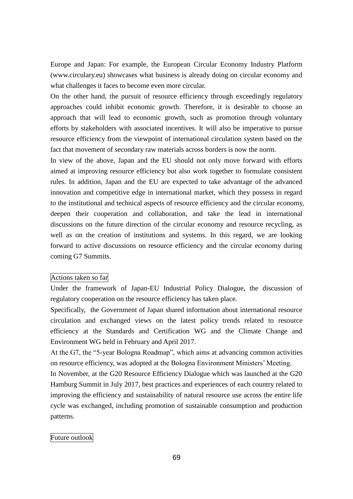Europe and Japan: For example, the European Circular Economy Industry Platform (www.circulary.eu) showcases what business is already doing on circular economy and what challenges it faces to become even more circular.

On the other hand, the pursuit of resource efficiency through exceedingly regulatory approaches could inhibit economic growth. Therefore, it is desirable to choose an approach that will lead to economic growth, such as promotion through voluntary efforts by stakeholders with associated incentives. It will also be imperative to pursue resource efficiency from the viewpoint of international circulation system based on the fact that movement of secondary raw materials across borders is now the norm.

In view of the above, Japan and the EU should not only move forward with efforts aimed at improving resource efficiency but also work together to formulate consistent rules. In addition, Japan and the EU are expected to take advantage of the advanced innovation and competitive edge in international market, which they possess in regard to the institutional and technical aspects of resource efficiency and the circular economy, deepen their cooperation and collaboration, and take the lead in international discussions on the future direction of the circular economy and resource recycling, as well as on the creation of institutions and systems. In this regard, we are looking forward to active discussions on resource efficiency and the circular economy during coming G7 Summits.

### Actions taken so far

Under the framework of Japan-EU Industrial Policy Dialogue, the discussion of regulatory cooperation on the resource efficiency has taken place.

Specifically, the Government of Japan shared information about international resource circulation and exchanged views on the latest policy trends related to resource efficiency at the Standards and Certification WG and the Climate Change and Environment WG held in February and April 2017.

At the G7, the "5-year Bologna Roadmap", which aims at advancing common activities on resource efficiency, was adopted at the Bologna Environment Ministers' Meeting.

In November, at the G20 Resource Efficiency Dialogue which was launched at the G20 Hamburg Summit in July 2017, best practices and experiences of each country related to improving the efficiency and sustainability of natural resource use across the entire life cycle was exchanged, including promotion of sustainable consumption and production patterns.

### Future outlook